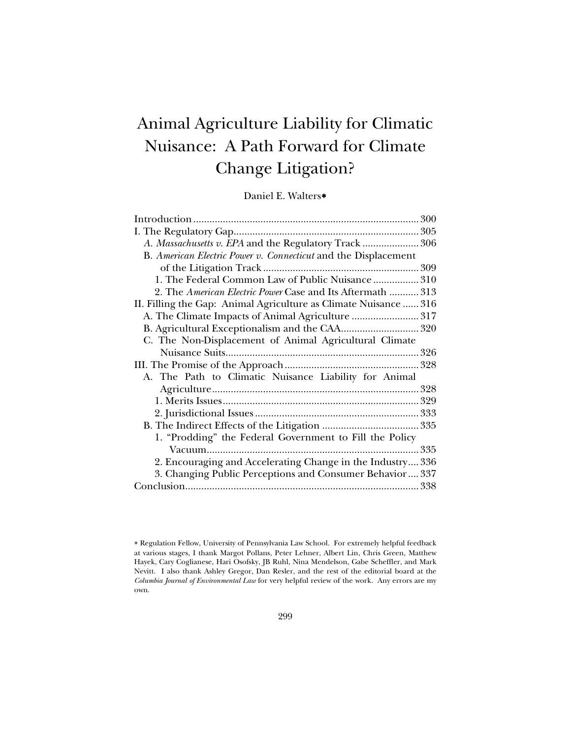# Animal Agriculture Liability for Climatic Nuisance: A Path Forward for Climate Change Litigation?

Daniel E. Walters[∗](#page-0-0)

| A. Massachusetts v. EPA and the Regulatory Track  306            |  |
|------------------------------------------------------------------|--|
| B. American Electric Power v. Connecticut and the Displacement   |  |
|                                                                  |  |
| 1. The Federal Common Law of Public Nuisance  310                |  |
| 2. The American Electric Power Case and Its Aftermath  313       |  |
| II. Filling the Gap: Animal Agriculture as Climate Nuisance  316 |  |
| A. The Climate Impacts of Animal Agriculture  317                |  |
|                                                                  |  |
| C. The Non-Displacement of Animal Agricultural Climate           |  |
|                                                                  |  |
|                                                                  |  |
| A. The Path to Climatic Nuisance Liability for Animal            |  |
|                                                                  |  |
|                                                                  |  |
|                                                                  |  |
|                                                                  |  |
| 1. "Prodding" the Federal Government to Fill the Policy          |  |
|                                                                  |  |
| 2. Encouraging and Accelerating Change in the Industry 336       |  |
| 3. Changing Public Perceptions and Consumer Behavior 337         |  |
|                                                                  |  |

<span id="page-0-0"></span><sup>∗</sup> Regulation Fellow, University of Pennsylvania Law School. For extremely helpful feedback at various stages, I thank Margot Pollans, Peter Lehner, Albert Lin, Chris Green, Matthew Hayek, Cary Coglianese, Hari Osofsky, JB Ruhl, Nina Mendelson, Gabe Scheffler, and Mark Nevitt. I also thank Ashley Gregor, Dan Resler, and the rest of the editorial board at the *Columbia Journal of Environmental Law* for very helpful review of the work. Any errors are my own.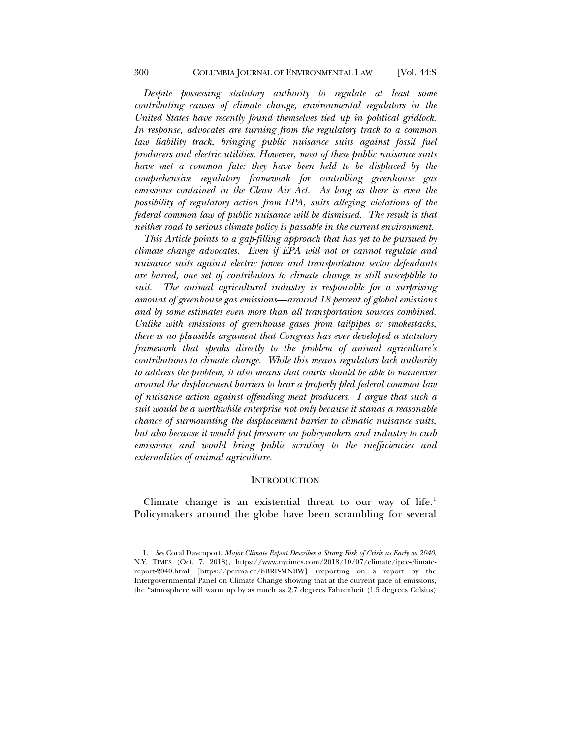*Despite possessing statutory authority to regulate at least some contributing causes of climate change, environmental regulators in the United States have recently found themselves tied up in political gridlock. In response, advocates are turning from the regulatory track to a common law liability track, bringing public nuisance suits against fossil fuel producers and electric utilities. However, most of these public nuisance suits have met a common fate: they have been held to be displaced by the comprehensive regulatory framework for controlling greenhouse gas emissions contained in the Clean Air Act. As long as there is even the possibility of regulatory action from EPA, suits alleging violations of the federal common law of public nuisance will be dismissed. The result is that neither road to serious climate policy is passable in the current environment.*

*This Article points to a gap-filling approach that has yet to be pursued by climate change advocates. Even if EPA will not or cannot regulate and nuisance suits against electric power and transportation sector defendants are barred, one set of contributors to climate change is still susceptible to suit. The animal agricultural industry is responsible for a surprising amount of greenhouse gas emissions—around 18 percent of global emissions and by some estimates even more than all transportation sources combined. Unlike with emissions of greenhouse gases from tailpipes or smokestacks, there is no plausible argument that Congress has ever developed a statutory framework that speaks directly to the problem of animal agriculture's contributions to climate change. While this means regulators lack authority to address the problem, it also means that courts should be able to maneuver around the displacement barriers to hear a properly pled federal common law of nuisance action against offending meat producers. I argue that such a suit would be a worthwhile enterprise not only because it stands a reasonable chance of surmounting the displacement barrier to climatic nuisance suits, but also because it would put pressure on policymakers and industry to curb emissions and would bring public scrutiny to the inefficiencies and externalities of animal agriculture.* 

#### **INTRODUCTION**

Climate change is an existential threat to our way of life. $<sup>1</sup>$  $<sup>1</sup>$  $<sup>1</sup>$ </sup> Policymakers around the globe have been scrambling for several

<span id="page-1-0"></span><sup>1.</sup> *See* Coral Davenport, *Major Climate Report Describes a Strong Risk of Crisis as Early as 2040*, N.Y. TIMES (Oct. 7, 2018), https://www.nytimes.com/2018/10/07/climate/ipcc-climatereport-2040.html [https://perma.cc/8BRP-MNBW] (reporting on a report by the Intergovernmental Panel on Climate Change showing that at the current pace of emissions, the "atmosphere will warm up by as much as 2.7 degrees Fahrenheit (1.5 degrees Celsius)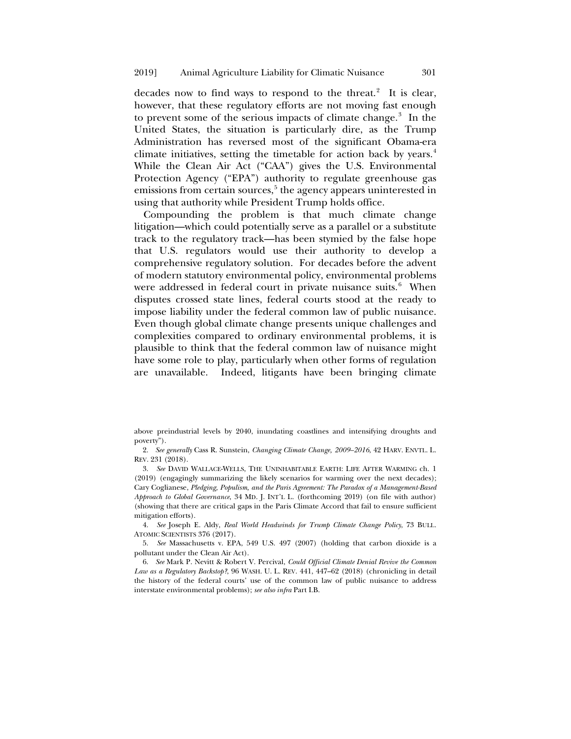decades now to find ways to respond to the threat.<sup>[2](#page-2-0)</sup> It is clear, however, that these regulatory efforts are not moving fast enough to prevent some of the serious impacts of climate change.<sup>[3](#page-2-1)</sup> In the United States, the situation is particularly dire, as the Trump Administration has reversed most of the significant Obama-era climate initiatives, setting the timetable for action back by years. $4$ While the Clean Air Act ("CAA") gives the U.S. Environmental Protection Agency ("EPA") authority to regulate greenhouse gas emissions from certain sources, $5$  the agency appears uninterested in using that authority while President Trump holds office.

<span id="page-2-5"></span>Compounding the problem is that much climate change litigation—which could potentially serve as a parallel or a substitute track to the regulatory track—has been stymied by the false hope that U.S. regulators would use their authority to develop a comprehensive regulatory solution. For decades before the advent of modern statutory environmental policy, environmental problems were addressed in federal court in private nuisance suits.<sup>[6](#page-2-4)</sup> When disputes crossed state lines, federal courts stood at the ready to impose liability under the federal common law of public nuisance. Even though global climate change presents unique challenges and complexities compared to ordinary environmental problems, it is plausible to think that the federal common law of nuisance might have some role to play, particularly when other forms of regulation are unavailable. Indeed, litigants have been bringing climate

above preindustrial levels by 2040, inundating coastlines and intensifying droughts and poverty").

<span id="page-2-0"></span>2. *See generally* Cass R. Sunstein, *Changing Climate Change, 2009–2016*, 42 HARV. ENVTL. L. REV. 231 (2018).

<span id="page-2-1"></span>3. *See* DAVID WALLACE-WELLS, THE UNINHABITABLE EARTH: LIFE AFTER WARMING ch. 1 (2019) (engagingly summarizing the likely scenarios for warming over the next decades); Cary Coglianese, *Pledging, Populism, and the Paris Agreement: The Paradox of a Management-Based Approach to Global Governance*, 34 MD. J. INT'L L. (forthcoming 2019) (on file with author) (showing that there are critical gaps in the Paris Climate Accord that fail to ensure sufficient mitigation efforts).

<span id="page-2-2"></span>4. *See* Joseph E. Aldy, *Real World Headwinds for Trump Climate Change Policy*, 73 BULL. ATOMIC SCIENTISTS 376 (2017).

<span id="page-2-3"></span>5. *See* Massachusetts v. EPA, 549 U.S. 497 (2007) (holding that carbon dioxide is a pollutant under the Clean Air Act).

<span id="page-2-4"></span>6. *See* Mark P. Nevitt & Robert V. Percival, *Could Official Climate Denial Revive the Common Law as a Regulatory Backstop?*, 96 WASH. U. L. REV. 441, 447–62 (2018) (chronicling in detail the history of the federal courts' use of the common law of public nuisance to address interstate environmental problems); *see also infra* Part I.B.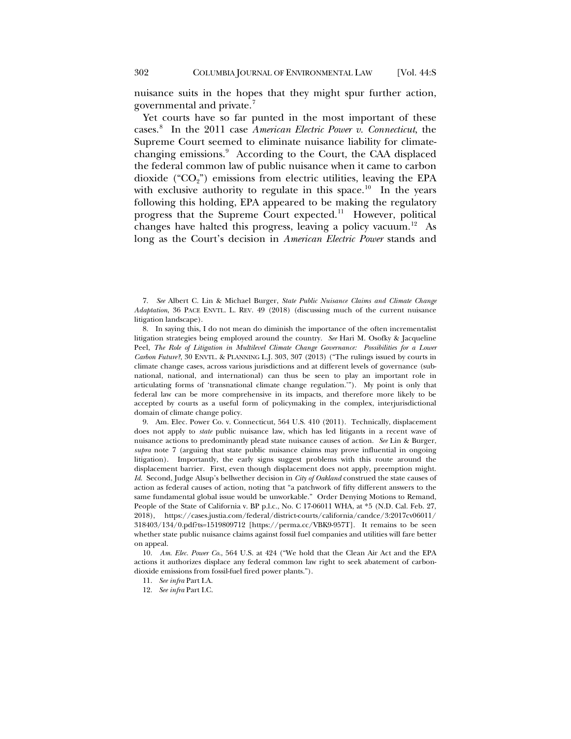<span id="page-3-0"></span>nuisance suits in the hopes that they might spur further action, governmental and private.[7](#page-3-1)

Yet courts have so far punted in the most important of these cases.[8](#page-3-2) In the 2011 case *American Electric Power v. Connecticut*, the Supreme Court seemed to eliminate nuisance liability for climate-changing emissions.<sup>[9](#page-3-3)</sup> According to the Court, the CAA displaced the federal common law of public nuisance when it came to carbon dioxide (" $CO<sub>2</sub>$ ") emissions from electric utilities, leaving the EPA with exclusive authority to regulate in this space.<sup>[10](#page-3-4)</sup> In the years following this holding, EPA appeared to be making the regulatory progress that the Supreme Court expected.<sup>[11](#page-3-5)</sup> However, political changes have halted this progress, leaving a policy vacuum.<sup>[12](#page-3-6)</sup> As long as the Court's decision in *American Electric Power* stands and

<span id="page-3-1"></span>7. *See* Albert C. Lin & Michael Burger, *State Public Nuisance Claims and Climate Change Adaptation*, 36 PACE ENVTL. L. REV. 49 (2018) (discussing much of the current nuisance litigation landscape).

<span id="page-3-2"></span>8. In saying this, I do not mean do diminish the importance of the often incrementalist litigation strategies being employed around the country. *See* Hari M. Osofky & Jacqueline Peel, *The Role of Litigation in Multilevel Climate Change Governance: Possibilities for a Lower Carbon Future?*, 30 ENVTL. & PLANNING L.J. 303, 307 (2013) ("The rulings issued by courts in climate change cases, across various jurisdictions and at different levels of governance (subnational, national, and international) can thus be seen to play an important role in articulating forms of 'transnational climate change regulation.'"). My point is only that federal law can be more comprehensive in its impacts, and therefore more likely to be accepted by courts as a useful form of policymaking in the complex, interjurisdictional domain of climate change policy.

<span id="page-3-3"></span>9. Am. Elec. Power Co. v. Connecticut, 564 U.S. 410 (2011). Technically, displacement does not apply to *state* public nuisance law, which has led litigants in a recent wave of nuisance actions to predominantly plead state nuisance causes of action. *See* Lin & Burger, *supra* note [7](#page-3-0) (arguing that state public nuisance claims may prove influential in ongoing litigation). Importantly, the early signs suggest problems with this route around the displacement barrier. First, even though displacement does not apply, preemption might. *Id*. Second, Judge Alsup's bellwether decision in *City of Oakland* construed the state causes of action as federal causes of action, noting that "a patchwork of fifty different answers to the same fundamental global issue would be unworkable." Order Denying Motions to Remand, People of the State of California v. BP p.l.c., No. C 17-06011 WHA, at \*5 (N.D. Cal. Feb. 27, 2018), https://cases.justia.com/federal/district-courts/california/candce/3:2017cv06011/ 318403/134/0.pdf?ts=1519809712 [https://perma.cc/VBK9-957T]. It remains to be seen whether state public nuisance claims against fossil fuel companies and utilities will fare better on appeal.

<span id="page-3-6"></span><span id="page-3-5"></span><span id="page-3-4"></span>10. *Am. Elec. Power Co*., 564 U.S. at 424 ("We hold that the Clean Air Act and the EPA actions it authorizes displace any federal common law right to seek abatement of carbondioxide emissions from fossil-fuel fired power plants.").

- 11. *See infra* Part I.A.
- 12. *See infra* Part I.C.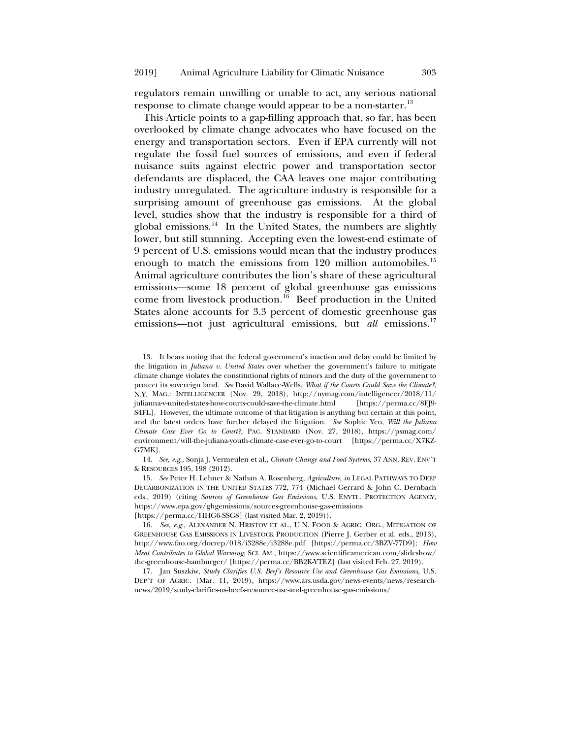regulators remain unwilling or unable to act, any serious national response to climate change would appear to be a non-starter.<sup>13</sup>

<span id="page-4-5"></span>This Article points to a gap-filling approach that, so far, has been overlooked by climate change advocates who have focused on the energy and transportation sectors. Even if EPA currently will not regulate the fossil fuel sources of emissions, and even if federal nuisance suits against electric power and transportation sector defendants are displaced, the CAA leaves one major contributing industry unregulated. The agriculture industry is responsible for a surprising amount of greenhouse gas emissions. At the global level, studies show that the industry is responsible for a third of global emissions.<sup>14</sup> In the United States, the numbers are slightly lower, but still stunning. Accepting even the lowest-end estimate of 9 percent of U.S. emissions would mean that the industry produces enough to match the emissions from 120 million automobiles.<sup>[15](#page-4-2)</sup> Animal agriculture contributes the lion's share of these agricultural emissions—some 18 percent of global greenhouse gas emissions come from livestock production.<sup>[16](#page-4-3)</sup> Beef production in the United States alone accounts for 3.3 percent of domestic greenhouse gas emissions—not just agricultural emissions, but *all* emissions.<sup>[17](#page-4-4)</sup>

<span id="page-4-6"></span><span id="page-4-0"></span>13. It bears noting that the federal government's inaction and delay could be limited by the litigation in *Juliana v. United States* over whether the government's failure to mitigate climate change violates the constitutional rights of minors and the duty of the government to protect its sovereign land. *See* David Wallace-Wells, *What if the Courts Could Save the Climate?*, N.Y. MAG.: INTELLIGENCER (Nov. 29, 2018), http://nymag.com/intelligencer/2018/11/ julianna-v-united-states-how-courts-could-save-the-climate.html [https://perma.cc/8FJ9- S4FL]. However, the ultimate outcome of that litigation is anything but certain at this point, and the latest orders have further delayed the litigation. *See* Sophie Yeo, *Will the Juliana Climate Case Ever Go to Court?*, PAC. STANDARD (Nov. 27, 2018), https://psmag.com/ environment/will-the-juliana-youth-climate-case-ever-go-to-court [https://perma.cc/X7KZ-G7MK].

<span id="page-4-1"></span>14. *See, e.g.*, Sonja J. Vermeulen et al., *Climate Change and Food Systems*, 37 ANN. REV. ENV'T & RESOURCES 195, 198 (2012).

<span id="page-4-2"></span>15. *See* Peter H. Lehner & Nathan A. Rosenberg, *Agriculture*, *in* LEGAL PATHWAYS TO DEEP DECARBONIZATION IN THE UNITED STATES 772, 774 (Michael Gerrard & John C. Dernbach eds., 2019) (citing *Sources of Greenhouse Gas Emissions*, U.S. ENVTL. PROTECTION AGENCY, https://www.epa.gov/ghgemissions/sources-greenhouse-gas-emissions [https://perma.cc/HHG6-SSG8] (last visited Mar. 2, 2019)).

<span id="page-4-3"></span>16. *See, e.g.*, ALEXANDER N. HRISTOV ET AL., U.N. FOOD & AGRIC. ORG., MITIGATION OF GREENHOUSE GAS EMISSIONS IN LIVESTOCK PRODUCTION (Pierre J. Gerber et al. eds., 2013), http://www.fao.org/docrep/018/i3288e/i3288e.pdf [https://perma.cc/3BZV-77D9]; *How Meat Contributes to Global Warming*, SCI. AM., https://www.scientificamerican.com/slideshow/ the-greenhouse-hamburger/ [https://perma.cc/BB2K-YTEZ] (last visited Feb. 27, 2019).

<span id="page-4-4"></span>17. Jan Suszkiw, *Study Clarifies U.S. Beef's Resource Use and Greenhouse Gas Emissions*, U.S. DEP'T OF AGRIC. (Mar. 11, 2019), https://www.ars.usda.gov/news-events/news/researchnews/2019/study-clarifies-us-beefs-resource-use-and-greenhouse-gas-emissions/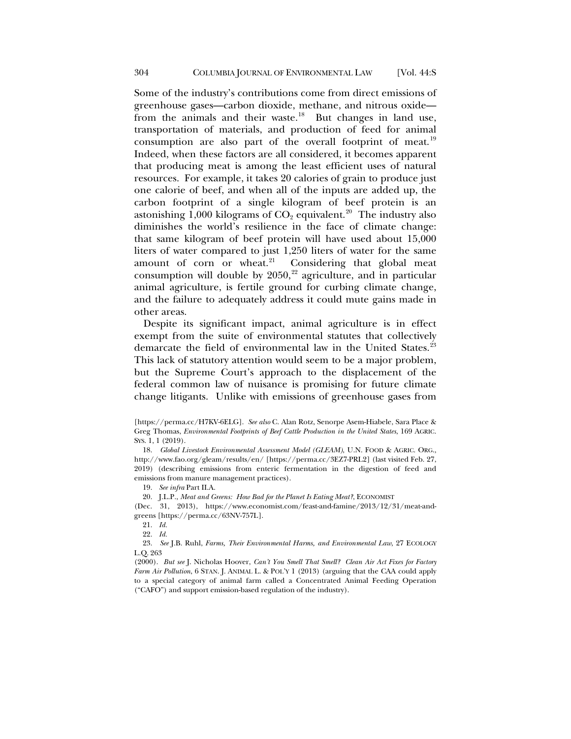Some of the industry's contributions come from direct emissions of greenhouse gases—carbon dioxide, methane, and nitrous oxide from the animals and their waste.<sup>18</sup> But changes in land use, transportation of materials, and production of feed for animal consumption are also part of the overall footprint of meat.<sup>[19](#page-5-1)</sup> Indeed, when these factors are all considered, it becomes apparent that producing meat is among the least efficient uses of natural resources. For example, it takes 20 calories of grain to produce just one calorie of beef, and when all of the inputs are added up, the carbon footprint of a single kilogram of beef protein is an astonishing  $1,000$  kilograms of  $CO<sub>2</sub>$  equivalent.<sup>20</sup> The industry also diminishes the world's resilience in the face of climate change: that same kilogram of beef protein will have used about 15,000 liters of water compared to just 1,250 liters of water for the same amount of corn or wheat. $21$  Considering that global meat consumption will double by  $2050$ ,<sup>[22](#page-5-4)</sup> agriculture, and in particular animal agriculture, is fertile ground for curbing climate change, and the failure to adequately address it could mute gains made in other areas.

<span id="page-5-6"></span>Despite its significant impact, animal agriculture is in effect exempt from the suite of environmental statutes that collectively demarcate the field of environmental law in the United States.<sup>[23](#page-5-5)</sup> This lack of statutory attention would seem to be a major problem, but the Supreme Court's approach to the displacement of the federal common law of nuisance is promising for future climate change litigants. Unlike with emissions of greenhouse gases from

<span id="page-5-5"></span><span id="page-5-4"></span>23. *See* J.B. Ruhl, *Farms, Their Environmental Harms, and Environmental Law*, 27 ECOLOGY L.Q. 263

(2000). *But see* J. Nicholas Hoover, *Can't You Smell That Smell? Clean Air Act Fixes for Factory Farm Air Pollution*, 6 STAN. J. ANIMAL L. & POL'Y 1 (2013) (arguing that the CAA could apply to a special category of animal farm called a Concentrated Animal Feeding Operation ("CAFO") and support emission-based regulation of the industry).

<sup>[</sup>https://perma.cc/H7KV-6ELG]. *See also* C. Alan Rotz, Senorpe Asem-Hiabele, Sara Place & Greg Thomas, *Environmental Footprints of Beef Cattle Production in the United States*, 169 AGRIC. SYS. 1, 1 (2019).

<span id="page-5-0"></span><sup>18.</sup> *Global Livestock Environmental Assessment Model (GLEAM)*, U.N. FOOD & AGRIC. ORG., http://www.fao.org/gleam/results/en/ [https://perma.cc/3EZ7-PRL2] (last visited Feb. 27, 2019) (describing emissions from enteric fermentation in the digestion of feed and emissions from manure management practices).

<sup>19.</sup> *See infra* Part II.A.

<sup>20.</sup> J.L.P., *Meat and Greens: How Bad for the Planet Is Eating Meat?*, ECONOMIST

<span id="page-5-3"></span><span id="page-5-2"></span><span id="page-5-1"></span><sup>(</sup>Dec. 31, 2013), https://www.economist.com/feast-and-famine/2013/12/31/meat-andgreens [https://perma.cc/63NV-757L].

<sup>21.</sup> *Id.*

<sup>22.</sup> *Id.*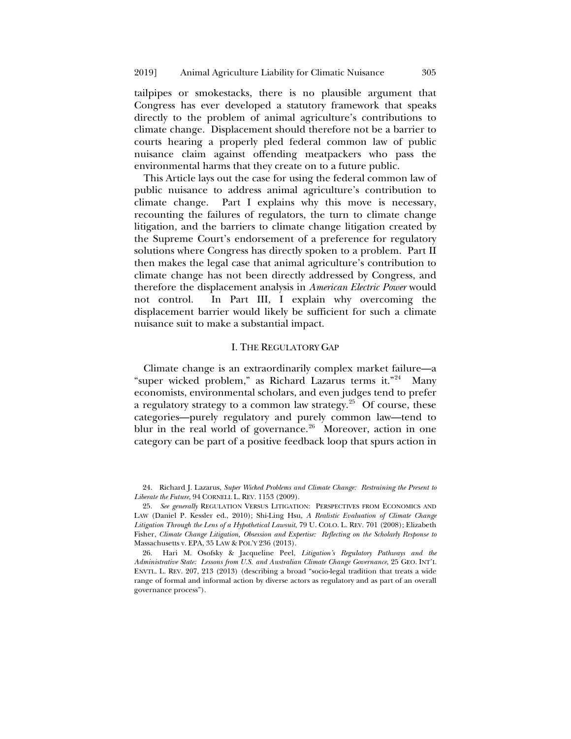tailpipes or smokestacks, there is no plausible argument that Congress has ever developed a statutory framework that speaks directly to the problem of animal agriculture's contributions to climate change. Displacement should therefore not be a barrier to courts hearing a properly pled federal common law of public nuisance claim against offending meatpackers who pass the environmental harms that they create on to a future public.

This Article lays out the case for using the federal common law of public nuisance to address animal agriculture's contribution to climate change. Part I explains why this move is necessary, recounting the failures of regulators, the turn to climate change litigation, and the barriers to climate change litigation created by the Supreme Court's endorsement of a preference for regulatory solutions where Congress has directly spoken to a problem. Part II then makes the legal case that animal agriculture's contribution to climate change has not been directly addressed by Congress, and therefore the displacement analysis in *American Electric Power* would not control. In Part III, I explain why overcoming the displacement barrier would likely be sufficient for such a climate nuisance suit to make a substantial impact.

# <span id="page-6-4"></span><span id="page-6-3"></span>I. THE REGULATORY GAP

Climate change is an extraordinarily complex market failure—a "super wicked problem," as Richard Lazarus terms it."[24](#page-6-0) Many economists, environmental scholars, and even judges tend to prefer a regulatory strategy to a common law strategy. $25^{\circ}$  $25^{\circ}$  Of course, these categories—purely regulatory and purely common law—tend to blur in the real world of governance.<sup>26</sup> Moreover, action in one category can be part of a positive feedback loop that spurs action in

<span id="page-6-0"></span>24. Richard J. Lazarus, *Super Wicked Problems and Climate Change: Restraining the Present to Liberate the Future*, 94 CORNELL L. REV. 1153 (2009).

<span id="page-6-1"></span>25. *See generally* REGULATION VERSUS LITIGATION: PERSPECTIVES FROM ECONOMICS AND LAW (Daniel P. Kessler ed., 2010); Shi-Ling Hsu, *A Realistic Evaluation of Climate Change Litigation Through the Lens of a Hypothetical Lawsuit*, 79 U. COLO. L. REV. 701 (2008); Elizabeth Fisher, *Climate Change Litigation, Obsession and Expertise: Reflecting on the Scholarly Response to*  Massachusetts v. EPA, 35 LAW & POL'Y 236 (2013).

<span id="page-6-2"></span>26. Hari M. Osofsky & Jacqueline Peel, *Litigation's Regulatory Pathways and the Administrative State: Lessons from U.S. and Australian Climate Change Governance*, 25 GEO. INT'L ENVTL. L. REV. 207, 213 (2013) (describing a broad "socio-legal tradition that treats a wide range of formal and informal action by diverse actors as regulatory and as part of an overall governance process").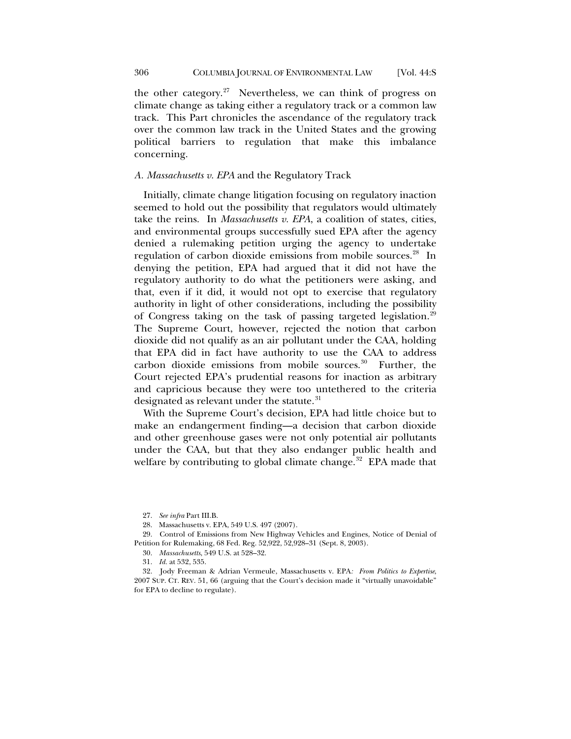the other category. $27$  Nevertheless, we can think of progress on climate change as taking either a regulatory track or a common law track. This Part chronicles the ascendance of the regulatory track over the common law track in the United States and the growing political barriers to regulation that make this imbalance concerning.

# *A. Massachusetts v. EPA* and the Regulatory Track

Initially, climate change litigation focusing on regulatory inaction seemed to hold out the possibility that regulators would ultimately take the reins. In *Massachusetts v. EPA*, a coalition of states, cities, and environmental groups successfully sued EPA after the agency denied a rulemaking petition urging the agency to undertake regulation of carbon dioxide emissions from mobile sources.<sup>[28](#page-7-1)</sup> In denying the petition, EPA had argued that it did not have the regulatory authority to do what the petitioners were asking, and that, even if it did, it would not opt to exercise that regulatory authority in light of other considerations, including the possibility of Congress taking on the task of passing targeted legislation.[29](#page-7-2) The Supreme Court, however, rejected the notion that carbon dioxide did not qualify as an air pollutant under the CAA, holding that EPA did in fact have authority to use the CAA to address carbon dioxide emissions from mobile sources.<sup>30</sup> Further, the Court rejected EPA's prudential reasons for inaction as arbitrary and capricious because they were too untethered to the criteria designated as relevant under the statute.<sup>[31](#page-7-4)</sup>

With the Supreme Court's decision, EPA had little choice but to make an endangerment finding—a decision that carbon dioxide and other greenhouse gases were not only potential air pollutants under the CAA, but that they also endanger public health and welfare by contributing to global climate change.<sup>32</sup> EPA made that

27. *See infra* Part III.B.

28. Massachusetts v. EPA, 549 U.S. 497 (2007).

<span id="page-7-2"></span><span id="page-7-1"></span><span id="page-7-0"></span>29. Control of Emissions from New Highway Vehicles and Engines, Notice of Denial of Petition for Rulemaking, 68 Fed. Reg. 52,922, 52,928–31 (Sept. 8, 2003).

30. *Massachusetts*, 549 U.S. at 528–32.

31. *Id.* at 532, 535.

<span id="page-7-5"></span><span id="page-7-4"></span><span id="page-7-3"></span>32. Jody Freeman & Adrian Vermeule, Massachusetts v. EPA*: From Politics to Expertise*, 2007 SUP. CT. REV. 51, 66 (arguing that the Court's decision made it "virtually unavoidable" for EPA to decline to regulate).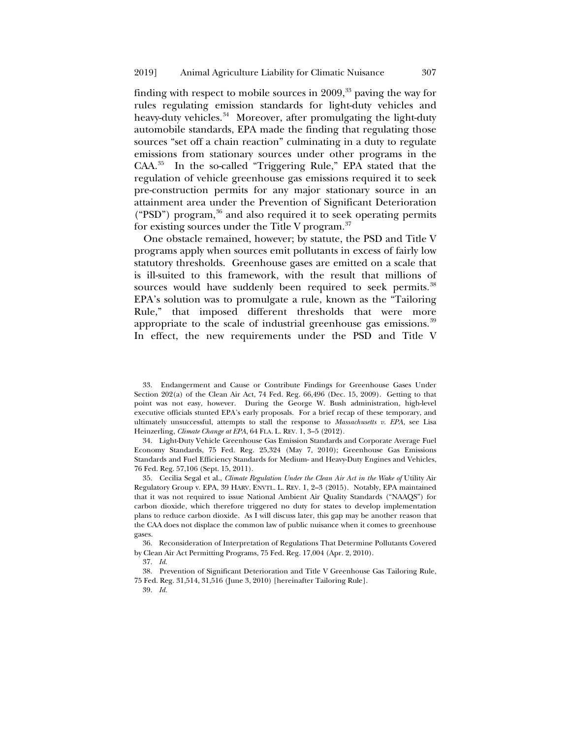finding with respect to mobile sources in  $2009$ ,  $33$  paving the way for rules regulating emission standards for light-duty vehicles and heavy-duty vehicles.<sup>34</sup> Moreover, after promulgating the light-duty automobile standards, EPA made the finding that regulating those sources "set off a chain reaction" culminating in a duty to regulate emissions from stationary sources under other programs in the CAA.[35](#page-8-2) In the so-called "Triggering Rule," EPA stated that the regulation of vehicle greenhouse gas emissions required it to seek pre-construction permits for any major stationary source in an attainment area under the Prevention of Significant Deterioration ("PSD") program, $36$  and also required it to seek operating permits for existing sources under the Title V program. $37$ 

One obstacle remained, however; by statute, the PSD and Title V programs apply when sources emit pollutants in excess of fairly low statutory thresholds. Greenhouse gases are emitted on a scale that is ill-suited to this framework, with the result that millions of sources would have suddenly been required to seek permits.<sup>[38](#page-8-5)</sup> EPA's solution was to promulgate a rule, known as the "Tailoring Rule," that imposed different thresholds that were more appropriate to the scale of industrial greenhouse gas emissions.<sup>[39](#page-8-6)</sup> In effect, the new requirements under the PSD and Title V

<span id="page-8-0"></span>33. Endangerment and Cause or Contribute Findings for Greenhouse Gases Under Section  $202(a)$  of the Clean Air Act, 74 Fed. Reg. 66,496 (Dec. 15, 2009). Getting to that point was not easy, however. During the George W. Bush administration, high-level executive officials stunted EPA's early proposals. For a brief recap of these temporary, and ultimately unsuccessful, attempts to stall the response to *Massachusetts v. EPA*, see Lisa Heinzerling, *Climate Change at EPA*, 64 FLA. L. REV. 1, 3–5 (2012).

<span id="page-8-1"></span>34. Light-Duty Vehicle Greenhouse Gas Emission Standards and Corporate Average Fuel Economy Standards, 75 Fed. Reg. 25,324 (May 7, 2010); Greenhouse Gas Emissions Standards and Fuel Efficiency Standards for Medium- and Heavy-Duty Engines and Vehicles, 76 Fed. Reg. 57,106 (Sept. 15, 2011).

<span id="page-8-2"></span>35. Cecilia Segal et al., *Climate Regulation Under the Clean Air Act in the Wake of* Utility Air Regulatory Group v. EPA, 39 HARV. ENVTL. L. REV. 1, 2–3 (2015). Notably, EPA maintained that it was not required to issue National Ambient Air Quality Standards ("NAAQS") for carbon dioxide, which therefore triggered no duty for states to develop implementation plans to reduce carbon dioxide. As I will discuss later, this gap may be another reason that the CAA does not displace the common law of public nuisance when it comes to greenhouse gases.

<span id="page-8-4"></span><span id="page-8-3"></span>36. Reconsideration of Interpretation of Regulations That Determine Pollutants Covered by Clean Air Act Permitting Programs, 75 Fed. Reg. 17,004 (Apr. 2, 2010).

37. *Id*.

<span id="page-8-6"></span><span id="page-8-5"></span>38. Prevention of Significant Deterioration and Title V Greenhouse Gas Tailoring Rule, 75 Fed. Reg. 31,514, 31,516 (June 3, 2010) [hereinafter Tailoring Rule].

39. *Id.*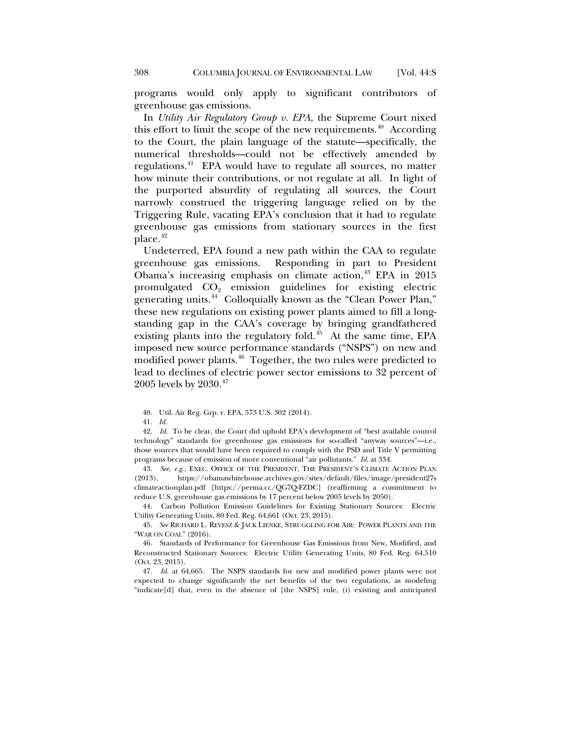programs would only apply to significant contributors of greenhouse gas emissions.

In *Utility Air Regulatory Group v. EPA*, the Supreme Court nixed this effort to limit the scope of the new requirements.<sup>40</sup> According to the Court, the plain language of the statute—specifically, the numerical thresholds—could not be effectively amended by regulations.[41](#page-9-1) EPA would have to regulate all sources, no matter how minute their contributions, or not regulate at all. In light of the purported absurdity of regulating all sources, the Court narrowly construed the triggering language relied on by the Triggering Rule, vacating EPA's conclusion that it had to regulate greenhouse gas emissions from stationary sources in the first  $place.<sup>42</sup>$  $place.<sup>42</sup>$  $place.<sup>42</sup>$ 

Undeterred, EPA found a new path within the CAA to regulate greenhouse gas emissions. Responding in part to President Obama's increasing emphasis on climate action, $43$  EPA in 2015 promulgated  $CO<sub>2</sub>$  emission guidelines for existing electric generating units.<sup>[44](#page-9-4)</sup> Colloquially known as the "Clean Power Plan," these new regulations on existing power plants aimed to fill a longstanding gap in the CAA's coverage by bringing grandfathered existing plants into the regulatory fold.<sup>45</sup> At the same time, EPA imposed new source performance standards ("NSPS") on new and modified power plants.[46](#page-9-6) Together, the two rules were predicted to lead to declines of electric power sector emissions to 32 percent of 2005 levels by 2030.<sup>[47](#page-9-7)</sup>

40. Util. Air Reg. Grp. v. EPA, 573 U.S. 302 (2014).

<span id="page-9-2"></span><span id="page-9-1"></span><span id="page-9-0"></span>42. *Id*. To be clear, the Court did uphold EPA's development of "best available control technology" standards for greenhouse gas emissions for so-called "anyway sources"—i.e., those sources that would have been required to comply with the PSD and Title V permitting programs because of emission of more conventional "air pollutants." *Id*. at 334.

<span id="page-9-3"></span>43. *See, e.g.*, EXEC. OFFICE OF THE PRESIDENT, THE PRESIDENT'S CLIMATE ACTION PLAN (2013), https://obamawhitehouse.archives.gov/sites/default/files/image/president27s climateactionplan.pdf [https://perma.cc/QG7Q-FZDC] (reaffirming a commitment to reduce U.S. greenhouse gas emissions by 17 percent below 2005 levels by 2050).

<span id="page-9-4"></span>44. Carbon Pollution Emission Guidelines for Existing Stationary Sources: Electric Utility Generating Units, 80 Fed. Reg. 64,661 (Oct. 23, 2015).

<span id="page-9-5"></span>45. *See* RICHARD L. REVESZ & JACK LIENKE, STRUGGLING FOR AIR: POWER PLANTS AND THE "WAR ON COAL" (2016).

<span id="page-9-6"></span>46. Standards of Performance for Greenhouse Gas Emissions from New, Modified, and Reconstructed Stationary Sources: Electric Utility Generating Units, 80 Fed. Reg. 64,510 (Oct. 23, 2015).

<span id="page-9-7"></span>47. *Id*. at 64,665. The NSPS standards for new and modified power plants were not expected to change significantly the net benefits of the two regulations, as modeling "indicate[d] that, even in the absence of [the NSPS] rule, (i) existing and anticipated

<sup>41.</sup> *Id*.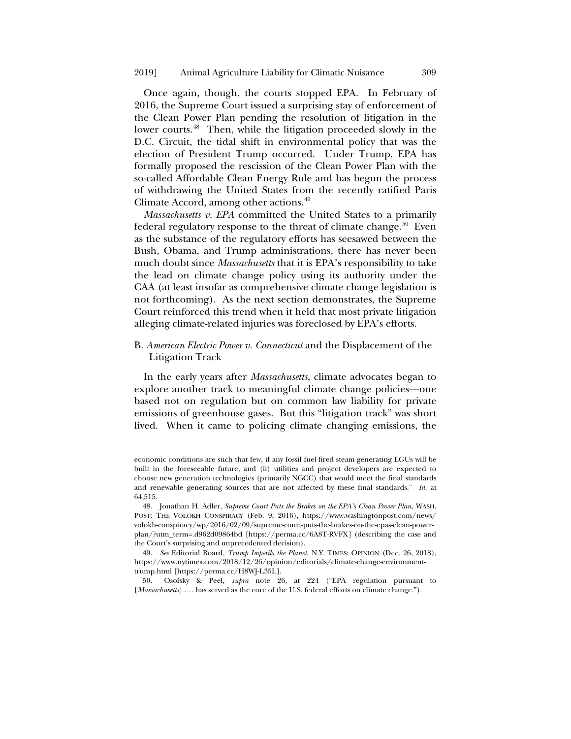Once again, though, the courts stopped EPA. In February of 2016, the Supreme Court issued a surprising stay of enforcement of the Clean Power Plan pending the resolution of litigation in the lower courts.<sup>48</sup> Then, while the litigation proceeded slowly in the D.C. Circuit, the tidal shift in environmental policy that was the election of President Trump occurred. Under Trump, EPA has formally proposed the rescission of the Clean Power Plan with the so-called Affordable Clean Energy Rule and has begun the process of withdrawing the United States from the recently ratified Paris Climate Accord, among other actions.<sup>49</sup>

*Massachusetts v. EPA* committed the United States to a primarily federal regulatory response to the threat of climate change.<sup>[50](#page-10-2)</sup> Even as the substance of the regulatory efforts has seesawed between the Bush, Obama, and Trump administrations, there has never been much doubt since *Massachusetts* that it is EPA's responsibility to take the lead on climate change policy using its authority under the CAA (at least insofar as comprehensive climate change legislation is not forthcoming). As the next section demonstrates, the Supreme Court reinforced this trend when it held that most private litigation alleging climate-related injuries was foreclosed by EPA's efforts.

# B. *American Electric Power v. Connecticut* and the Displacement of the Litigation Track

In the early years after *Massachusetts*, climate advocates began to explore another track to meaningful climate change policies—one based not on regulation but on common law liability for private emissions of greenhouse gases. But this "litigation track" was short lived. When it came to policing climate changing emissions, the

economic conditions are such that few, if any fossil fuel-fired steam-generating EGUs will be built in the foreseeable future, and (ii) utilities and project developers are expected to choose new generation technologies (primarily NGCC) that would meet the final standards and renewable generating sources that are not affected by these final standards." *Id*. at 64,515.

<span id="page-10-0"></span>48. Jonathan H. Adler, *Supreme Court Puts the Brakes on the EPA's Clean Power Plan*, WASH. POST: THE VOLOKH CONSPIRACY (Feb. 9, 2016), https://www.washingtonpost.com/news/ volokh-conspiracy/wp/2016/02/09/supreme-court-puts-the-brakes-on-the-epas-clean-powerplan/?utm\_term=.d962d09864bd [https://perma.cc/6A8T-RVFX] (describing the case and the Court's surprising and unprecedented decision).

<span id="page-10-1"></span>49. *See* Editorial Board, *Trump Imperils the Planet*, N.Y. TIMES: OPINION (Dec. 26, 2018), https://www.nytimes.com/2018/12/26/opinion/editorials/climate-change-environmenttrump.html [https://perma.cc/H8WJ-L35L].

<span id="page-10-2"></span>50. Osofsky & Peel, *supra* note [26,](#page-6-3) at 224 ("EPA regulation pursuant to [*Massachusetts*] . . . has served as the core of the U.S. federal efforts on climate change.").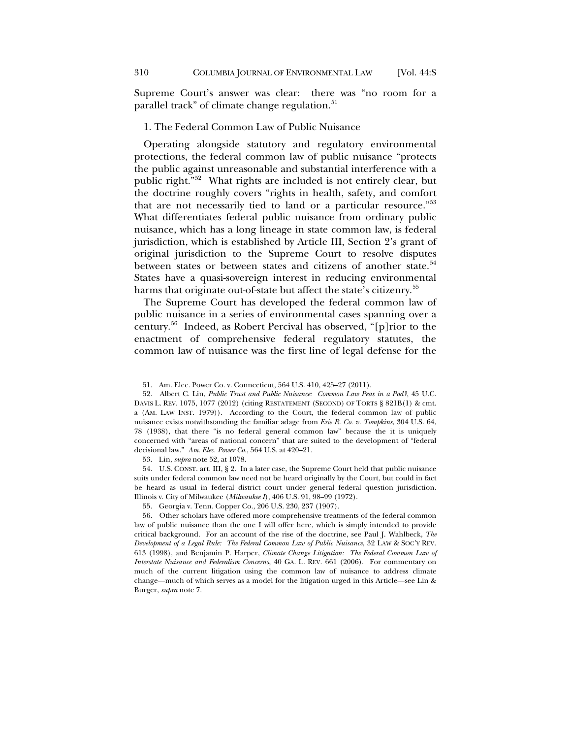Supreme Court's answer was clear: there was "no room for a parallel track" of climate change regulation.<sup>[51](#page-11-1)</sup>

#### 1. The Federal Common Law of Public Nuisance

<span id="page-11-0"></span>Operating alongside statutory and regulatory environmental protections, the federal common law of public nuisance "protects the public against unreasonable and substantial interference with a public right."[52](#page-11-2) What rights are included is not entirely clear, but the doctrine roughly covers "rights in health, safety, and comfort that are not necessarily tied to land or a particular resource."[53](#page-11-3) What differentiates federal public nuisance from ordinary public nuisance, which has a long lineage in state common law, is federal jurisdiction, which is established by Article III, Section 2's grant of original jurisdiction to the Supreme Court to resolve disputes between states or between states and citizens of another state.<sup>[54](#page-11-4)</sup> States have a quasi-sovereign interest in reducing environmental harms that originate out-of-state but affect the state's citizenry.<sup>[55](#page-11-5)</sup>

<span id="page-11-7"></span>The Supreme Court has developed the federal common law of public nuisance in a series of environmental cases spanning over a century.[56](#page-11-6) Indeed, as Robert Percival has observed, "[p]rior to the enactment of comprehensive federal regulatory statutes, the common law of nuisance was the first line of legal defense for the

53. Lin, *supra* not[e 52,](#page-11-0) at 1078.

<span id="page-11-4"></span><span id="page-11-3"></span>54. U.S. CONST. art. III, § 2. In a later case, the Supreme Court held that public nuisance suits under federal common law need not be heard originally by the Court, but could in fact be heard as usual in federal district court under general federal question jurisdiction. Illinois v. City of Milwaukee (*Milwaukee I*), 406 U.S. 91, 98–99 (1972).

55. Georgia v. Tenn. Copper Co., 206 U.S. 230, 237 (1907).

<span id="page-11-6"></span><span id="page-11-5"></span>56. Other scholars have offered more comprehensive treatments of the federal common law of public nuisance than the one I will offer here, which is simply intended to provide critical background. For an account of the rise of the doctrine, see Paul J. Wahlbeck, *The Development of a Legal Rule: The Federal Common Law of Public Nuisance*, 32 LAW & SOC'Y REV. 613 (1998), and Benjamin P. Harper, *Climate Change Litigation: The Federal Common Law of Interstate Nuisance and Federalism Concerns*, 40 GA. L. REV. 661 (2006). For commentary on much of the current litigation using the common law of nuisance to address climate change—much of which serves as a model for the litigation urged in this Article—see Lin & Burger, *supra* not[e 7.](#page-3-0)

<sup>51.</sup> Am. Elec. Power Co. v. Connecticut, 564 U.S. 410, 425–27 (2011).

<span id="page-11-2"></span><span id="page-11-1"></span><sup>52.</sup> Albert C. Lin, *Public Trust and Public Nuisance: Common Law Peas in a Pod?*, 45 U.C. DAVIS L. REV. 1075, 1077 (2012) (citing RESTATEMENT (SECOND) OF TORTS § 821B(1) & cmt. a (AM. LAW INST. 1979)). According to the Court, the federal common law of public nuisance exists notwithstanding the familiar adage from *Erie R. Co. v. Tompkins*, 304 U.S. 64, 78 (1938), that there "is no federal general common law" because the it is uniquely concerned with "areas of national concern" that are suited to the development of "federal decisional law." *Am. Elec. Power Co.*, 564 U.S. at 420–21.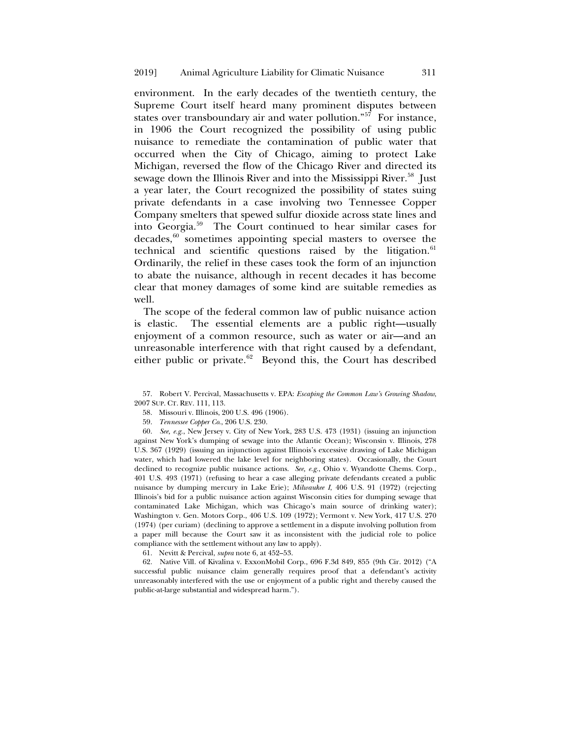environment. In the early decades of the twentieth century, the Supreme Court itself heard many prominent disputes between states over transboundary air and water pollution." $5^7$  For instance, in 1906 the Court recognized the possibility of using public nuisance to remediate the contamination of public water that occurred when the City of Chicago, aiming to protect Lake Michigan, reversed the flow of the Chicago River and directed its sewage down the Illinois River and into the Mississippi River.<sup>[58](#page-12-1)</sup> Just a year later, the Court recognized the possibility of states suing private defendants in a case involving two Tennessee Copper Company smelters that spewed sulfur dioxide across state lines and into Georgia.[59](#page-12-2) The Court continued to hear similar cases for decades, $60$  sometimes appointing special masters to oversee the technical and scientific questions raised by the litigation. $61$ Ordinarily, the relief in these cases took the form of an injunction to abate the nuisance, although in recent decades it has become clear that money damages of some kind are suitable remedies as well.

The scope of the federal common law of public nuisance action is elastic. The essential elements are a public right—usually enjoyment of a common resource, such as water or air—and an unreasonable interference with that right caused by a defendant, either public or private. $62$  Beyond this, the Court has described

<span id="page-12-1"></span><span id="page-12-0"></span>57. Robert V. Percival, Massachusetts v. EPA: *Escaping the Common Law's Growing Shadow*, 2007 SUP. CT. REV. 111, 113.

58. Missouri v. Illinois, 200 U.S. 496 (1906).

59. *Tennessee Copper Co*., 206 U.S. 230.

<span id="page-12-3"></span><span id="page-12-2"></span>60. *See, e.g.*, New Jersey v. City of New York, 283 U.S. 473 (1931) (issuing an injunction against New York's dumping of sewage into the Atlantic Ocean); Wisconsin v. Illinois, 278 U.S. 367 (1929) (issuing an injunction against Illinois's excessive drawing of Lake Michigan water, which had lowered the lake level for neighboring states). Occasionally, the Court declined to recognize public nuisance actions. *See, e.g.*, Ohio v. Wyandotte Chems. Corp., 401 U.S. 493 (1971) (refusing to hear a case alleging private defendants created a public nuisance by dumping mercury in Lake Erie); *Milwaukee I*, 406 U.S. 91 (1972) (rejecting Illinois's bid for a public nuisance action against Wisconsin cities for dumping sewage that contaminated Lake Michigan, which was Chicago's main source of drinking water); Washington v. Gen. Motors Corp., 406 U.S. 109 (1972); Vermont v. New York, 417 U.S. 270 (1974) (per curiam) (declining to approve a settlement in a dispute involving pollution from a paper mill because the Court saw it as inconsistent with the judicial role to police compliance with the settlement without any law to apply).

61. Nevitt & Percival, *supra* not[e 6,](#page-2-5) at 452–53.

<span id="page-12-5"></span><span id="page-12-4"></span>62. Native Vill. of Kivalina v. ExxonMobil Corp., 696 F.3d 849, 855 (9th Cir. 2012) ("A successful public nuisance claim generally requires proof that a defendant's activity unreasonably interfered with the use or enjoyment of a public right and thereby caused the public-at-large substantial and widespread harm.").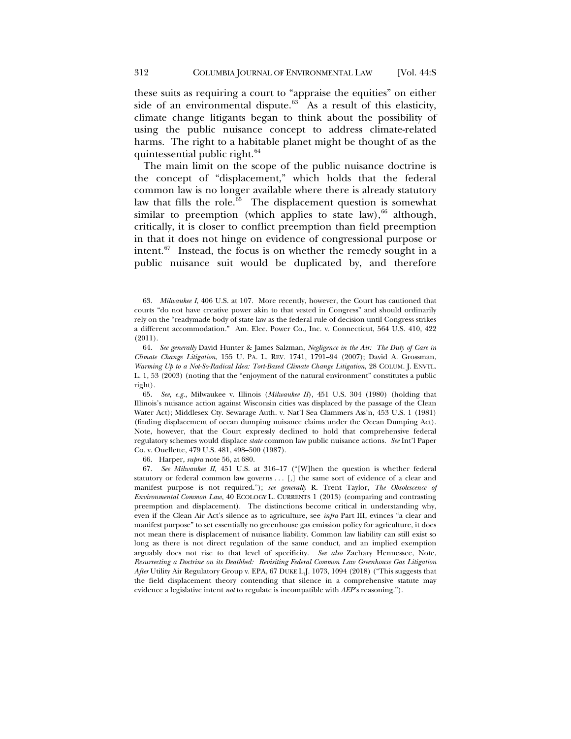these suits as requiring a court to "appraise the equities" on either side of an environmental dispute. $63$  As a result of this elasticity, climate change litigants began to think about the possibility of using the public nuisance concept to address climate-related harms. The right to a habitable planet might be thought of as the quintessential public right.<sup>[64](#page-13-1)</sup>

<span id="page-13-5"></span>The main limit on the scope of the public nuisance doctrine is the concept of "displacement," which holds that the federal common law is no longer available where there is already statutory law that fills the role. $\overline{65}$  $\overline{65}$  $\overline{65}$  The displacement question is somewhat similar to preemption (which applies to state law),  $66$  although, critically, it is closer to conflict preemption than field preemption in that it does not hinge on evidence of congressional purpose or intent. $67$  Instead, the focus is on whether the remedy sought in a public nuisance suit would be duplicated by, and therefore

<span id="page-13-0"></span>63. *Milwaukee I*, 406 U.S. at 107. More recently, however, the Court has cautioned that courts "do not have creative power akin to that vested in Congress" and should ordinarily rely on the "readymade body of state law as the federal rule of decision until Congress strikes a different accommodation." Am. Elec. Power Co., Inc. v. Connecticut, 564 U.S. 410, 422 (2011).

<span id="page-13-1"></span>64. *See generally* David Hunter & James Salzman, *Negligence in the Air: The Duty of Care in Climate Change Litigation*, 155 U. PA. L. REV. 1741, 1791–94 (2007); David A. Grossman, *Warming Up to a Not-So-Radical Idea: Tort-Based Climate Change Litigation*, 28 COLUM. J. ENVTL. L. 1, 53 (2003) (noting that the "enjoyment of the natural environment" constitutes a public right).

<span id="page-13-2"></span>65. *See, e.g.*, Milwaukee v. Illinois (*Milwaukee II*), 451 U.S. 304 (1980) (holding that Illinois's nuisance action against Wisconsin cities was displaced by the passage of the Clean Water Act); Middlesex Cty. Sewarage Auth. v. Nat'l Sea Clammers Ass'n, 453 U.S. 1 (1981) (finding displacement of ocean dumping nuisance claims under the Ocean Dumping Act). Note, however, that the Court expressly declined to hold that comprehensive federal regulatory schemes would displace *state* common law public nuisance actions. *See* Int'l Paper Co. v. Ouellette, 479 U.S. 481, 498–500 (1987).

66. Harper, *supra* note [56,](#page-11-7) at 680.

<span id="page-13-4"></span><span id="page-13-3"></span>67. *See Milwaukee II*, 451 U.S. at 316–17 ("[W]hen the question is whether federal statutory or federal common law governs . . . [,] the same sort of evidence of a clear and manifest purpose is not required."); *see generally* R. Trent Taylor, *The Obsolescence of Environmental Common Law*, 40 ECOLOGY L. CURRENTS 1 (2013) (comparing and contrasting preemption and displacement). The distinctions become critical in understanding why, even if the Clean Air Act's silence as to agriculture, see *infra* Part III, evinces "a clear and manifest purpose" to set essentially no greenhouse gas emission policy for agriculture, it does not mean there is displacement of nuisance liability. Common law liability can still exist so long as there is not direct regulation of the same conduct, and an implied exemption arguably does not rise to that level of specificity. *See also* Zachary Hennessee, Note, *Resurrecting a Doctrine on its Deathbed: Revisiting Federal Common Law Greenhouse Gas Litigation After* Utility Air Regulatory Group v. EPA, 67 DUKE L.J. 1073, 1094 (2018) ("This suggests that the field displacement theory contending that silence in a comprehensive statute may evidence a legislative intent *not* to regulate is incompatible with *AEP*'s reasoning.").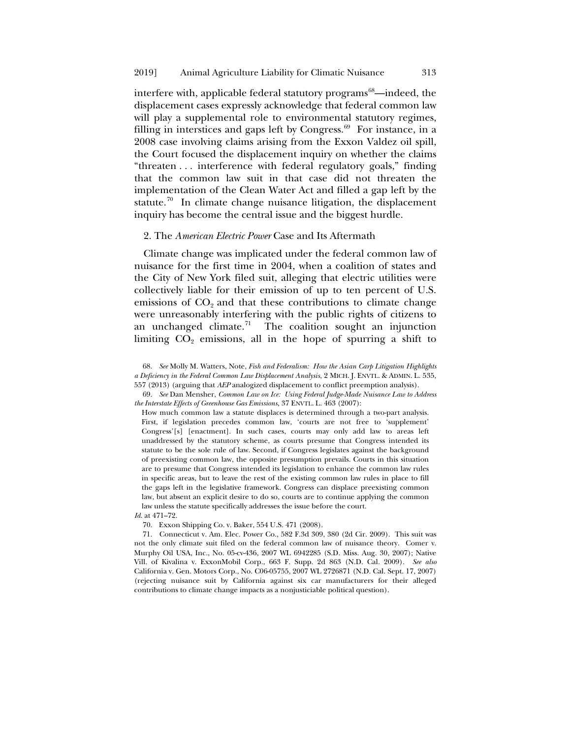interfere with, applicable federal statutory programs<sup>68</sup>—indeed, the displacement cases expressly acknowledge that federal common law will play a supplemental role to environmental statutory regimes, filling in interstices and gaps left by Congress. $69$  For instance, in a 2008 case involving claims arising from the Exxon Valdez oil spill, the Court focused the displacement inquiry on whether the claims "threaten . . . interference with federal regulatory goals," finding that the common law suit in that case did not threaten the implementation of the Clean Water Act and filled a gap left by the statute.<sup>70</sup> In climate change nuisance litigation, the displacement inquiry has become the central issue and the biggest hurdle.

## 2. The *American Electric Power* Case and Its Aftermath

Climate change was implicated under the federal common law of nuisance for the first time in 2004, when a coalition of states and the City of New York filed suit, alleging that electric utilities were collectively liable for their emission of up to ten percent of U.S. emissions of  $CO<sub>2</sub>$  and that these contributions to climate change were unreasonably interfering with the public rights of citizens to an unchanged climate.<sup>[71](#page-14-3)</sup> The coalition sought an injunction limiting  $CO<sub>2</sub>$  emissions, all in the hope of spurring a shift to

How much common law a statute displaces is determined through a two-part analysis. First, if legislation precedes common law, 'courts are not free to 'supplement' Congress'[s] [enactment]. In such cases, courts may only add law to areas left unaddressed by the statutory scheme, as courts presume that Congress intended its statute to be the sole rule of law. Second, if Congress legislates against the background of preexisting common law, the opposite presumption prevails. Courts in this situation are to presume that Congress intended its legislation to enhance the common law rules in specific areas, but to leave the rest of the existing common law rules in place to fill the gaps left in the legislative framework. Congress can displace preexisting common law, but absent an explicit desire to do so, courts are to continue applying the common law unless the statute specifically addresses the issue before the court.

70. Exxon Shipping Co. v. Baker, 554 U.S. 471 (2008).

<span id="page-14-3"></span>71. Connecticut v. Am. Elec. Power Co., 582 F.3d 309, 380 (2d Cir. 2009). This suit was not the only climate suit filed on the federal common law of nuisance theory. Comer v. Murphy Oil USA, Inc., No. 05-cv-436, 2007 WL 6942285 (S.D. Miss. Aug. 30, 2007); Native Vill. of Kivalina v. ExxonMobil Corp., 663 F. Supp. 2d 863 (N.D. Cal. 2009). *See also* California v. Gen. Motors Corp., No. C06-05755, 2007 WL 2726871 (N.D. Cal. Sept. 17, 2007) (rejecting nuisance suit by California against six car manufacturers for their alleged contributions to climate change impacts as a nonjusticiable political question).

<span id="page-14-0"></span><sup>68.</sup> *See* Molly M. Watters, Note, *Fish and Federalism: How the Asian Carp Litigation Highlights a Deficiency in the Federal Common Law Displacement Analysis*, 2 MICH. J. ENVTL. & ADMIN. L. 535, 557 (2013) (arguing that *AEP* analogized displacement to conflict preemption analysis).

<span id="page-14-1"></span><sup>69.</sup> *See* Dan Mensher, *Common Law on Ice: Using Federal Judge-Made Nuisance Law to Address the Interstate Effects of Greenhouse Gas Emissions*, 37 ENVTL. L. 463 (2007):

<span id="page-14-2"></span>*Id*. at 471–72.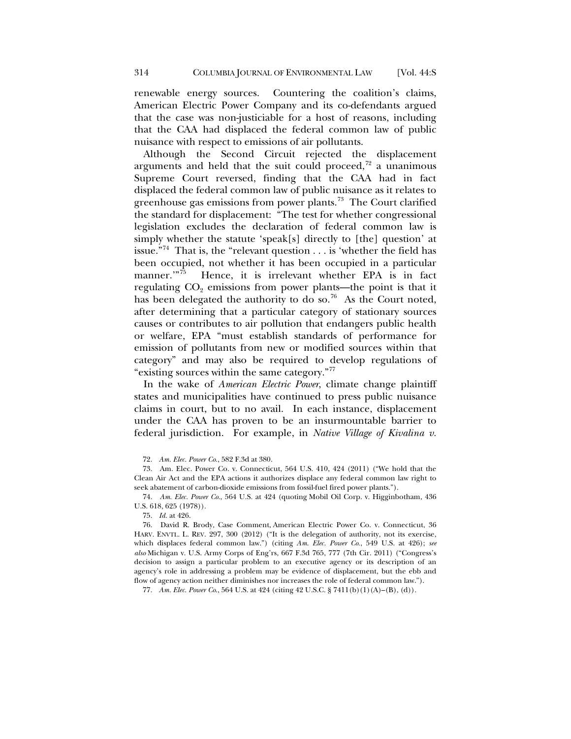renewable energy sources. Countering the coalition's claims, American Electric Power Company and its co-defendants argued that the case was non-justiciable for a host of reasons, including that the CAA had displaced the federal common law of public nuisance with respect to emissions of air pollutants.

Although the Second Circuit rejected the displacement arguments and held that the suit could proceed, $72$  a unanimous Supreme Court reversed, finding that the CAA had in fact displaced the federal common law of public nuisance as it relates to greenhouse gas emissions from power plants.[73](#page-15-1) The Court clarified the standard for displacement: "The test for whether congressional legislation excludes the declaration of federal common law is simply whether the statute 'speak[s] directly to [the] question' at issue."[74](#page-15-2) That is, the "relevant question . . . is 'whether the field has been occupied, not whether it has been occupied in a particular manner."<sup>75</sup> Hence, it is irrelevant whether EPA is in fact regulating  $CO<sub>2</sub>$  emissions from power plants—the point is that it has been delegated the authority to do so.<sup>[76](#page-15-4)</sup> As the Court noted, after determining that a particular category of stationary sources causes or contributes to air pollution that endangers public health or welfare, EPA "must establish standards of performance for emission of pollutants from new or modified sources within that category" and may also be required to develop regulations of "existing sources within the same category."[77](#page-15-5)

<span id="page-15-6"></span>In the wake of *American Electric Power*, climate change plaintiff states and municipalities have continued to press public nuisance claims in court, but to no avail. In each instance, displacement under the CAA has proven to be an insurmountable barrier to federal jurisdiction. For example, in *Native Village of Kivalina v.* 

72. *Am. Elec. Power Co.*, 582 F.3d at 380.

<span id="page-15-1"></span><span id="page-15-0"></span>73. Am. Elec. Power Co. v. Connecticut, 564 U.S. 410, 424 (2011) ("We hold that the Clean Air Act and the EPA actions it authorizes displace any federal common law right to seek abatement of carbon-dioxide emissions from fossil-fuel fired power plants.").

<span id="page-15-2"></span>74. *Am. Elec. Power Co*., 564 U.S. at 424 (quoting Mobil Oil Corp. v. Higginbotham, 436 U.S. 618, 625 (1978)).

75. *Id.* at 426.

<span id="page-15-4"></span><span id="page-15-3"></span>76. David R. Brody, Case Comment, American Electric Power Co. v. Connecticut, 36 HARV. ENVTL. L. REV. 297, 300 (2012) ("It is the delegation of authority, not its exercise, which displaces federal common law.") (citing *Am. Elec. Power Co.*, 549 U.S. at 426); *see also* Michigan v. U.S. Army Corps of Eng'rs, 667 F.3d 765, 777 (7th Cir. 2011) ("Congress's decision to assign a particular problem to an executive agency or its description of an agency's role in addressing a problem may be evidence of displacement, but the ebb and flow of agency action neither diminishes nor increases the role of federal common law.").

<span id="page-15-5"></span>77. *Am. Elec. Power Co*., 564 U.S. at 424 (citing 42 U.S.C. § 7411(b)(1)(A)–(B), (d)).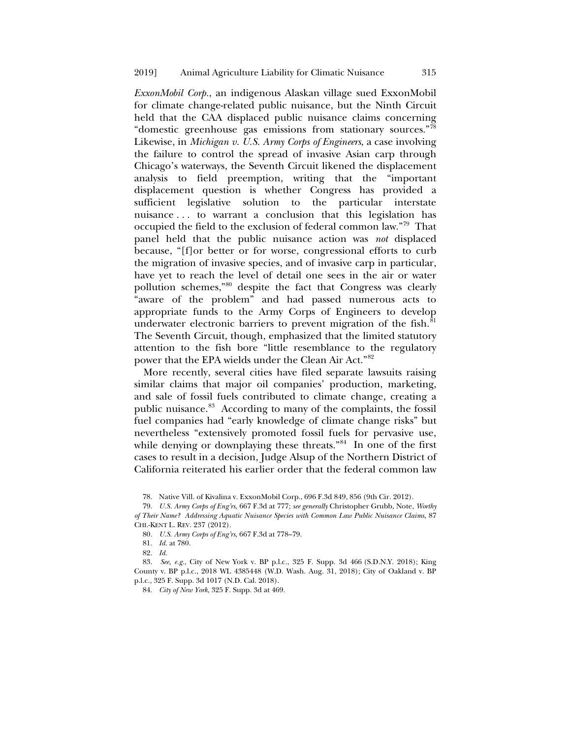*ExxonMobil Corp.*, an indigenous Alaskan village sued ExxonMobil for climate change-related public nuisance, but the Ninth Circuit held that the CAA displaced public nuisance claims concerning "domestic greenhouse gas emissions from stationary sources."[78](#page-16-0) Likewise, in *Michigan v. U.S. Army Corps of Engineers*, a case involving the failure to control the spread of invasive Asian carp through Chicago's waterways, the Seventh Circuit likened the displacement analysis to field preemption, writing that the "important displacement question is whether Congress has provided a sufficient legislative solution to the particular interstate nuisance . . . to warrant a conclusion that this legislation has occupied the field to the exclusion of federal common law.["79](#page-16-1) That panel held that the public nuisance action was *not* displaced because, "[f]or better or for worse, congressional efforts to curb the migration of invasive species, and of invasive carp in particular, have yet to reach the level of detail one sees in the air or water pollution schemes,"[80](#page-16-2) despite the fact that Congress was clearly "aware of the problem" and had passed numerous acts to appropriate funds to the Army Corps of Engineers to develop underwater electronic barriers to prevent migration of the fish. ${}^{81}$  ${}^{81}$  ${}^{81}$ The Seventh Circuit, though, emphasized that the limited statutory attention to the fish bore "little resemblance to the regulatory power that the EPA wields under the Clean Air Act."[82](#page-16-4)

More recently, several cities have filed separate lawsuits raising similar claims that major oil companies' production, marketing, and sale of fossil fuels contributed to climate change, creating a public nuisance.<sup>[83](#page-16-5)</sup> According to many of the complaints, the fossil fuel companies had "early knowledge of climate change risks" but nevertheless "extensively promoted fossil fuels for pervasive use, while denying or downplaying these threats."<sup>84</sup> In one of the first cases to result in a decision, Judge Alsup of the Northern District of California reiterated his earlier order that the federal common law

78. Native Vill. of Kivalina v. ExxonMobil Corp., 696 F.3d 849, 856 (9th Cir. 2012).

<span id="page-16-1"></span><span id="page-16-0"></span>79. *U.S. Army Corps of Eng'rs*, 667 F.3d at 777; *see generally* Christopher Grubb, Note, *Worthy of Their Name? Addressing Aquatic Nuisance Species with Common Law Public Nuisance Claims*, 87 CHI.-KENT L. REV. 237 (2012).

80*. U.S. Army Corps of Eng'rs*, 667 F.3d at 778–79.

81. *Id.* at 780.

82. *Id.*

<span id="page-16-6"></span><span id="page-16-5"></span><span id="page-16-4"></span><span id="page-16-3"></span><span id="page-16-2"></span>83. *See, e.g.*, City of New York v. BP p.l.c., 325 F. Supp. 3d 466 (S.D.N.Y. 2018); King County v. BP p.l.c., 2018 WL 4385448 (W.D. Wash. Aug. 31, 2018); City of Oakland v. BP p.l.c., 325 F. Supp. 3d 1017 (N.D. Cal. 2018).

84. *City of New York*, 325 F. Supp. 3d at 469.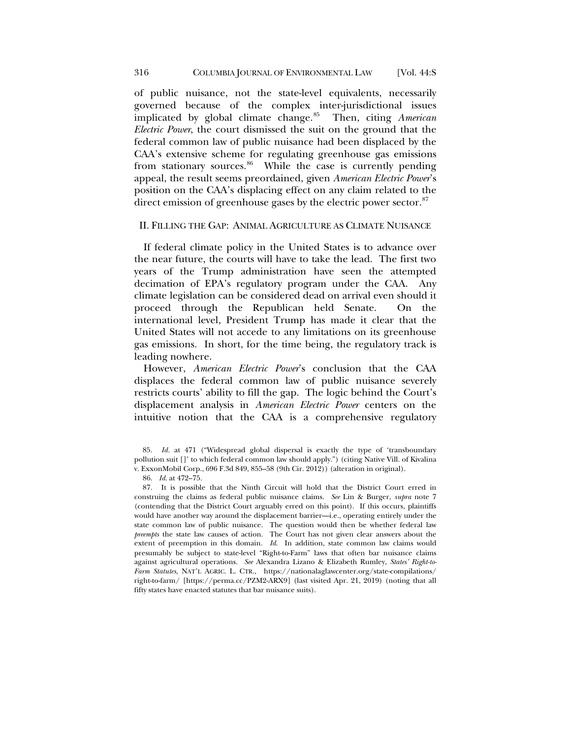of public nuisance, not the state-level equivalents, necessarily governed because of the complex inter-jurisdictional issues implicated by global climate change.[85](#page-17-0) Then, citing *American Electric Power*, the court dismissed the suit on the ground that the federal common law of public nuisance had been displaced by the CAA's extensive scheme for regulating greenhouse gas emissions from stationary sources.<sup>[86](#page-17-1)</sup> While the case is currently pending appeal, the result seems preordained, given *American Electric Power*'s position on the CAA's displacing effect on any claim related to the direct emission of greenhouse gases by the electric power sector.<sup>[87](#page-17-2)</sup>

## II. FILLING THE GAP: ANIMAL AGRICULTURE AS CLIMATE NUISANCE

If federal climate policy in the United States is to advance over the near future, the courts will have to take the lead. The first two years of the Trump administration have seen the attempted decimation of EPA's regulatory program under the CAA. Any climate legislation can be considered dead on arrival even should it proceed through the Republican held Senate. On the international level, President Trump has made it clear that the United States will not accede to any limitations on its greenhouse gas emissions. In short, for the time being, the regulatory track is leading nowhere.

However, *American Electric Power*'s conclusion that the CAA displaces the federal common law of public nuisance severely restricts courts' ability to fill the gap. The logic behind the Court's displacement analysis in *American Electric Power* centers on the intuitive notion that the CAA is a comprehensive regulatory

86. *Id*. at 472–75.

<span id="page-17-2"></span><span id="page-17-1"></span>87. It is possible that the Ninth Circuit will hold that the District Court erred in construing the claims as federal public nuisance claims. *See* Lin & Burger, *supra* note [7](#page-3-0) (contending that the District Court arguably erred on this point). If this occurs, plaintiffs would have another way around the displacement barrier—i.e., operating entirely under the state common law of public nuisance. The question would then be whether federal law *preempts* the state law causes of action. The Court has not given clear answers about the extent of preemption in this domain. *Id*. In addition, state common law claims would presumably be subject to state-level "Right-to-Farm" laws that often bar nuisance claims against agricultural operations. *See* Alexandra Lizano & Elizabeth Rumley, *States' Right-to-Farm Statutes*, NAT'L AGRIC. L. CTR., https://nationalaglawcenter.org/state-compilations/ right-to-farm/ [\[https://perma.cc/PZM2-ARX9\]](https://perma.cc/PZM2-ARX9) (last visited Apr. 21, 2019) (noting that all fifty states have enacted statutes that bar nuisance suits).

<span id="page-17-0"></span><sup>85.</sup> *Id.* at 471 ("Widespread global dispersal is exactly the type of 'transboundary pollution suit []' to which federal common law should apply.") (citing Native Vill. of Kivalina v. ExxonMobil Corp., 696 F.3d 849, 855–58 (9th Cir. 2012)) (alteration in original).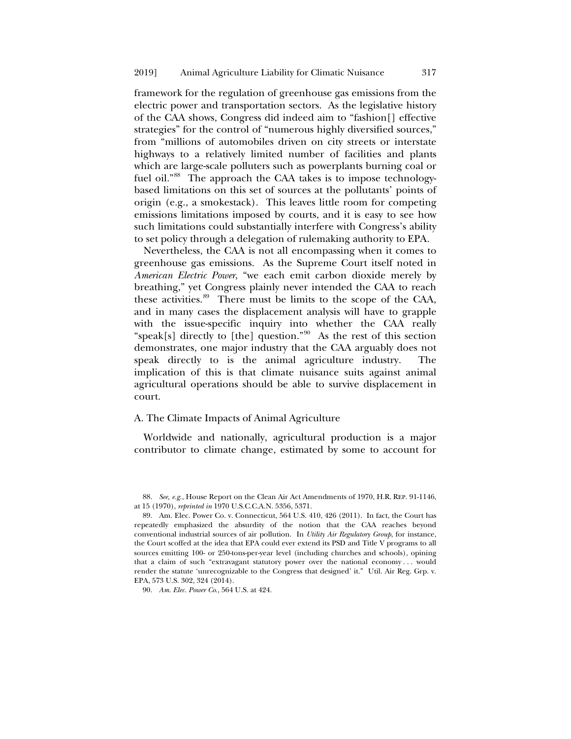framework for the regulation of greenhouse gas emissions from the electric power and transportation sectors. As the legislative history of the CAA shows, Congress did indeed aim to "fashion[] effective strategies" for the control of "numerous highly diversified sources," from "millions of automobiles driven on city streets or interstate highways to a relatively limited number of facilities and plants which are large-scale polluters such as powerplants burning coal or fuel oil."<sup>[88](#page-18-0)</sup> The approach the CAA takes is to impose technologybased limitations on this set of sources at the pollutants' points of origin (e.g., a smokestack). This leaves little room for competing emissions limitations imposed by courts, and it is easy to see how such limitations could substantially interfere with Congress's ability to set policy through a delegation of rulemaking authority to EPA.

Nevertheless, the CAA is not all encompassing when it comes to greenhouse gas emissions. As the Supreme Court itself noted in *American Electric Power*, "we each emit carbon dioxide merely by breathing," yet Congress plainly never intended the CAA to reach these activities.<sup>89</sup> There must be limits to the scope of the CAA, and in many cases the displacement analysis will have to grapple with the issue-specific inquiry into whether the CAA really "speak[s] directly to [the] question."<sup>90</sup> As the rest of this section demonstrates, one major industry that the CAA arguably does not speak directly to is the animal agriculture industry. The implication of this is that climate nuisance suits against animal agricultural operations should be able to survive displacement in court.

## A. The Climate Impacts of Animal Agriculture

Worldwide and nationally, agricultural production is a major contributor to climate change, estimated by some to account for

<span id="page-18-0"></span>88. *See, e.g.*, House Report on the Clean Air Act Amendments of 1970, H.R. REP. 91-1146, at 15 (1970), *reprinted in* 1970 U.S.C.C.A.N. 5356, 5371.

<span id="page-18-1"></span>89. Am. Elec. Power Co. v. Connecticut, 564 U.S. 410, 426 (2011). In fact, the Court has repeatedly emphasized the absurdity of the notion that the CAA reaches beyond conventional industrial sources of air pollution. In *Utility Air Regulatory Group*, for instance, the Court scoffed at the idea that EPA could ever extend its PSD and Title V programs to all sources emitting 100- or 250-tons-per-year level (including churches and schools), opining that a claim of such "extravagant statutory power over the national economy . . . would render the statute 'unrecognizable to the Congress that designed' it." Util. Air Reg. Grp. v. EPA, 573 U.S. 302, 324 (2014).

<span id="page-18-2"></span>90. *Am. Elec. Power Co.*, 564 U.S. at 424.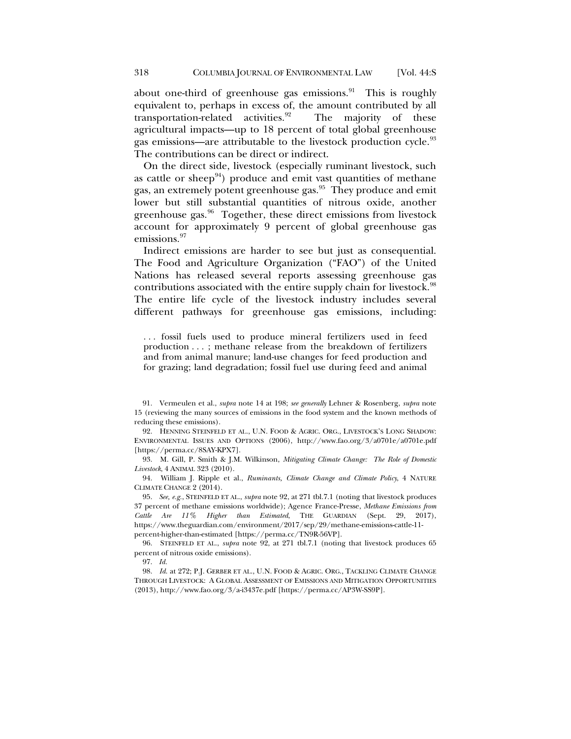<span id="page-19-0"></span>about one-third of greenhouse gas emissions. $91$  This is roughly equivalent to, perhaps in excess of, the amount contributed by all transportation-related activities. $92$  The majority of these agricultural impacts—up to 18 percent of total global greenhouse gas emissions—are attributable to the livestock production cycle.<sup>[93](#page-19-3)</sup> The contributions can be direct or indirect.

<span id="page-19-9"></span>On the direct side, livestock (especially ruminant livestock, such as cattle or sheep $94$ ) produce and emit vast quantities of methane gas, an extremely potent greenhouse gas.[95](#page-19-5) They produce and emit lower but still substantial quantities of nitrous oxide, another greenhouse gas.<sup>[96](#page-19-6)</sup> Together, these direct emissions from livestock account for approximately 9 percent of global greenhouse gas emissions.<sup>[97](#page-19-7)</sup>

Indirect emissions are harder to see but just as consequential. The Food and Agriculture Organization ("FAO") of the United Nations has released several reports assessing greenhouse gas contributions associated with the entire supply chain for livestock.<sup>[98](#page-19-8)</sup> The entire life cycle of the livestock industry includes several different pathways for greenhouse gas emissions, including:

<span id="page-19-10"></span>. . . fossil fuels used to produce mineral fertilizers used in feed production . . . ; methane release from the breakdown of fertilizers and from animal manure; land-use changes for feed production and for grazing; land degradation; fossil fuel use during feed and animal

<span id="page-19-1"></span>91. Vermeulen et al., *supra* note [14](#page-4-5) at 198; *see generally* Lehner & Rosenberg, *supra* note [15](#page-4-6) (reviewing the many sources of emissions in the food system and the known methods of reducing these emissions).

<span id="page-19-2"></span>92. HENNING STEINFELD ET AL., U.N. FOOD & AGRIC. ORG., LIVESTOCK'S LONG SHADOW: ENVIRONMENTAL ISSUES AND OPTIONS (2006), http://www.fao.org/3/a0701e/a0701e.pdf [https://perma.cc/8SAY-KPX7].

<span id="page-19-3"></span>93. M. Gill, P. Smith & J.M. Wilkinson, *Mitigating Climate Change: The Role of Domestic Livestock*, 4 ANIMAL 323 (2010).

<span id="page-19-4"></span>94. William J. Ripple et al., *Ruminants, Climate Change and Climate Policy*, 4 NATURE CLIMATE CHANGE 2 (2014).

<span id="page-19-5"></span>95. *See, e.g.*, STEINFELD ET AL., *supra* note [92,](#page-19-0) at 271 tbl.7.1 (noting that livestock produces 37 percent of methane emissions worldwide); Agence France-Presse, *Methane Emissions from Cattle Are 11% Higher than Estimated*, THE GUARDIAN (Sept. 29, 2017), https://www.theguardian.com/environment/2017/sep/29/methane-emissions-cattle-11 percent-higher-than-estimated [https://perma.cc/TN9R-56VP].

<span id="page-19-6"></span>96. STEINFELD ET AL., *supra* note [92,](#page-19-0) at 271 tbl.7.1 (noting that livestock produces 65 percent of nitrous oxide emissions).

97. *Id.*

<span id="page-19-8"></span><span id="page-19-7"></span>98. *Id*. at 272; P.J. GERBER ET AL., U.N. FOOD & AGRIC. ORG., TACKLING CLIMATE CHANGE THROUGH LIVESTOCK: A GLOBAL ASSESSMENT OF EMISSIONS AND MITIGATION OPPORTUNITIES (2013), http://www.fao.org/3/a-i3437e.pdf [https://perma.cc/AP3W-SS9P].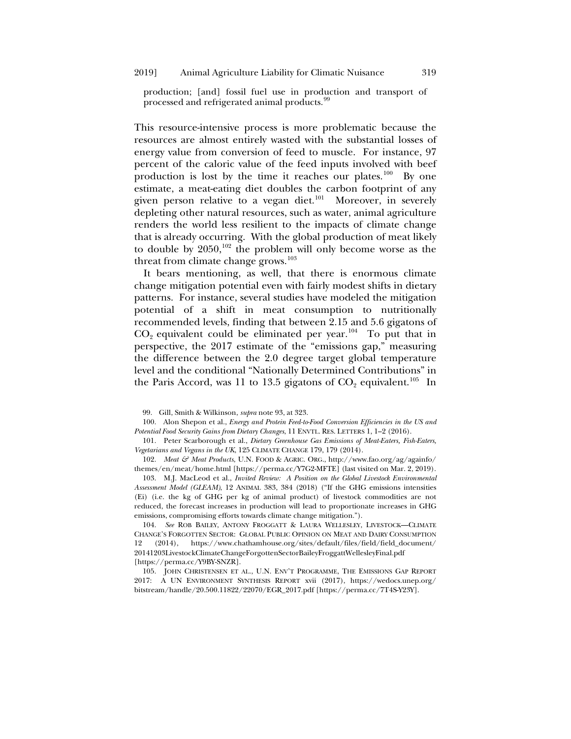production; [and] fossil fuel use in production and transport of processed and refrigerated animal products.<sup>[99](#page-20-0)</sup>

This resource-intensive process is more problematic because the resources are almost entirely wasted with the substantial losses of energy value from conversion of feed to muscle. For instance, 97 percent of the caloric value of the feed inputs involved with beef production is lost by the time it reaches our plates.<sup>[100](#page-20-1)</sup> By one estimate, a meat-eating diet doubles the carbon footprint of any given person relative to a vegan diet.<sup>101</sup> Moreover, in severely depleting other natural resources, such as water, animal agriculture renders the world less resilient to the impacts of climate change that is already occurring. With the global production of meat likely to double by  $2050$ ,<sup>[102](#page-20-3)</sup> the problem will only become worse as the threat from climate change grows.<sup>[103](#page-20-4)</sup>

It bears mentioning, as well, that there is enormous climate change mitigation potential even with fairly modest shifts in dietary patterns. For instance, several studies have modeled the mitigation potential of a shift in meat consumption to nutritionally recommended levels, finding that between 2.15 and 5.6 gigatons of  $CO<sub>2</sub>$  equivalent could be eliminated per year.<sup>104</sup> To put that in perspective, the 2017 estimate of the "emissions gap," measuring the difference between the 2.0 degree target global temperature level and the conditional "Nationally Determined Contributions" in the Paris Accord, was 11 to 13.5 gigatons of  $CO_2$  equivalent.<sup>105</sup> In

<span id="page-20-7"></span>99. Gill, Smith & Wilkinson, *supra* note [93,](#page-19-9) at 323.

<span id="page-20-1"></span><span id="page-20-0"></span>100. Alon Shepon et al., *Energy and Protein Feed-to-Food Conversion Efficiencies in the US and Potential Food Security Gains from Dietary Changes*, 11 ENVTL. RES. LETTERS 1, 1–2 (2016).

<span id="page-20-2"></span>101. Peter Scarborough et al., *Dietary Greenhouse Gas Emissions of Meat-Eaters, Fish-Eaters, Vegetarians and Vegans in the UK*, 125 CLIMATE CHANGE 179, 179 (2014).

<span id="page-20-3"></span>102. *Meat & Meat Products*, U.N. FOOD & AGRIC. ORG., http://www.fao.org/ag/againfo/ themes/en/meat/home.html [https://perma.cc/Y7G2-MFTE] (last visited on Mar. 2, 2019).

<span id="page-20-4"></span>103. M.J. MacLeod et al., *Invited Review: A Position on the Global Livestock Environmental Assessment Model (GLEAM)*, 12 ANIMAL 383, 384 (2018) ("If the GHG emissions intensities (Ei) (i.e. the kg of GHG per kg of animal product) of livestock commodities are not reduced, the forecast increases in production will lead to proportionate increases in GHG emissions, compromising efforts towards climate change mitigation.").

<span id="page-20-5"></span>104. *See* ROB BAILEY, ANTONY FROGGATT & LAURA WELLESLEY, LIVESTOCK—CLIMATE CHANGE'S FORGOTTEN SECTOR: GLOBAL PUBLIC OPINION ON MEAT AND DAIRY CONSUMPTION 12 (2014), https://www.chathamhouse.org/sites/default/files/field/field\_document/ 20141203LivestockClimateChangeForgottenSectorBaileyFroggattWellesleyFinal.pdf [https://perma.cc/Y9BY-SNZR].

<span id="page-20-6"></span>105. JOHN CHRISTENSEN ET AL., U.N. ENV'T PROGRAMME, THE EMISSIONS GAP REPORT 2017: A UN ENVIRONMENT SYNTHESIS REPORT xvii (2017), https://wedocs.unep.org/ bitstream/handle/20.500.11822/22070/EGR\_2017.pdf [https://perma.cc/7T4S-Y23Y].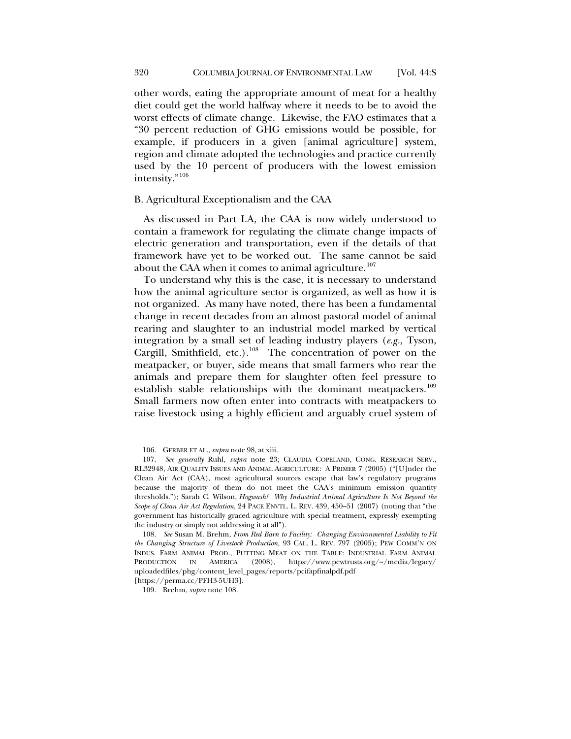other words, eating the appropriate amount of meat for a healthy diet could get the world halfway where it needs to be to avoid the worst effects of climate change. Likewise, the FAO estimates that a "30 percent reduction of GHG emissions would be possible, for example, if producers in a given [animal agriculture] system, region and climate adopted the technologies and practice currently used by the 10 percent of producers with the lowest emission intensity."[106](#page-21-1)

## B. Agricultural Exceptionalism and the CAA

As discussed in Part I.A, the CAA is now widely understood to contain a framework for regulating the climate change impacts of electric generation and transportation, even if the details of that framework have yet to be worked out. The same cannot be said about the CAA when it comes to animal agriculture.<sup>[107](#page-21-2)</sup>

<span id="page-21-0"></span>To understand why this is the case, it is necessary to understand how the animal agriculture sector is organized, as well as how it is not organized. As many have noted, there has been a fundamental change in recent decades from an almost pastoral model of animal rearing and slaughter to an industrial model marked by vertical integration by a small set of leading industry players (*e.g.,* Tyson, Cargill, Smithfield, etc.).<sup>[108](#page-21-3)</sup> The concentration of power on the meatpacker, or buyer, side means that small farmers who rear the animals and prepare them for slaughter often feel pressure to establish stable relationships with the dominant meatpackers.<sup>[109](#page-21-4)</sup> Small farmers now often enter into contracts with meatpackers to raise livestock using a highly efficient and arguably cruel system of

106. GERBER ET AL., *supra* note [98,](#page-19-10) at xiii.

<span id="page-21-2"></span><span id="page-21-1"></span>107. *See generally* Ruhl, *supra* note [23;](#page-5-6) CLAUDIA COPELAND, CONG. RESEARCH SERV., RL32948, AIR QUALITY ISSUES AND ANIMAL AGRICULTURE: A PRIMER 7 (2005) ("[U]nder the Clean Air Act (CAA), most agricultural sources escape that law's regulatory programs because the majority of them do not meet the CAA's minimum emission quantity thresholds."); Sarah C. Wilson, *Hogwash! Why Industrial Animal Agriculture Is Not Beyond the Scope of Clean Air Act Regulation*, 24 PACE ENVTL. L. REV. 439, 450–51 (2007) (noting that "the government has historically graced agriculture with special treatment, expressly exempting the industry or simply not addressing it at all").

<span id="page-21-3"></span>108. *See* Susan M. Brehm, *From Red Barn to Facility: Changing Environmental Liability to Fit the Changing Structure of Livestock Production*, 93 CAL. L. REV. 797 (2005); PEW COMM'N ON INDUS. FARM ANIMAL PROD., PUTTING MEAT ON THE TABLE: INDUSTRIAL FARM ANIMAL PRODUCTION IN AMERICA (2008), https://www.pewtrusts.org/~/media/legacy/ uploadedfiles/phg/content\_level\_pages/reports/pcifapfinalpdf.pdf

<span id="page-21-4"></span>[https://perma.cc/PFH3-5UH3].

109. Brehm, *supra* not[e 108.](#page-21-0)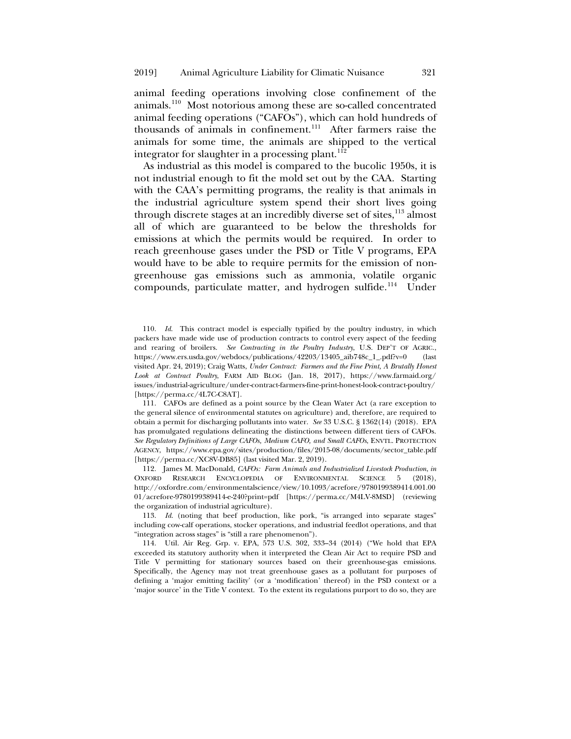animal feeding operations involving close confinement of the animals.[110](#page-22-0) Most notorious among these are so-called concentrated animal feeding operations ("CAFOs"), which can hold hundreds of thousands of animals in confinement.[111](#page-22-1) After farmers raise the animals for some time, the animals are shipped to the vertical integrator for slaughter in a processing plant.<sup>[112](#page-22-2)</sup>

<span id="page-22-5"></span>As industrial as this model is compared to the bucolic 1950s, it is not industrial enough to fit the mold set out by the CAA. Starting with the CAA's permitting programs, the reality is that animals in the industrial agriculture system spend their short lives going through discrete stages at an incredibly diverse set of sites,<sup>113</sup> almost all of which are guaranteed to be below the thresholds for emissions at which the permits would be required. In order to reach greenhouse gases under the PSD or Title V programs, EPA would have to be able to require permits for the emission of nongreenhouse gas emissions such as ammonia, volatile organic compounds, particulate matter, and hydrogen sulfide.<sup>114</sup> Under

<span id="page-22-0"></span>110. *Id*. This contract model is especially typified by the poultry industry, in which packers have made wide use of production contracts to control every aspect of the feeding and rearing of broilers. *See Contracting in the Poultry Industry*, U.S. DEP'T OF AGRIC., https://www.ers.usda.gov/webdocs/publications/42203/13405\_aib748c\_1\_.pdf?v=0 (last visited Apr. 24, 2019); Craig Watts, *Under Contract: Farmers and the Fine Print, A Brutally Honest Look at Contract Poultry*, FARM AID BLOG (Jan. 18, 2017), https://www.farmaid.org/ issues/industrial-agriculture/under-contract-farmers-fine-print-honest-look-contract-poultry/ [\[https://perma.cc/4L7C-C8AT\]](https://perma.cc/4L7C-C8AT).

<span id="page-22-1"></span>111. CAFOs are defined as a point source by the Clean Water Act (a rare exception to the general silence of environmental statutes on agriculture) and, therefore, are required to obtain a permit for discharging pollutants into water. *See* 33 U.S.C. § 1362(14) (2018). EPA has promulgated regulations delineating the distinctions between different tiers of CAFOs. *See Regulatory Definitions of Large CAFOs, Medium CAFO, and Small CAFOs*, ENVTL. PROTECTION AGENCY, https://www.epa.gov/sites/production/files/2015-08/documents/sector\_table.pdf [https://perma.cc/XC8V-DB85] (last visited Mar. 2, 2019).

<span id="page-22-2"></span>112. James M. MacDonald, *CAFOs: Farm Animals and Industrialized Livestock Production*, *in* OXFORD RESEARCH ENCYCLOPEDIA OF ENVIRONMENTAL SCIENCE 5 (2018), http://oxfordre.com/environmentalscience/view/10.1093/acrefore/9780199389414.001.00 01/acrefore-9780199389414-e-240?print=pdf [https://perma.cc/M4LV-8MSD] (reviewing the organization of industrial agriculture).

<span id="page-22-3"></span>113. *Id.* (noting that beef production, like pork, "is arranged into separate stages" including cow-calf operations, stocker operations, and industrial feedlot operations, and that "integration across stages" is "still a rare phenomenon").

<span id="page-22-4"></span>114. Util. Air Reg. Grp. v. EPA, 573 U.S. 302, 333–34 (2014) ("We hold that EPA exceeded its statutory authority when it interpreted the Clean Air Act to require PSD and Title V permitting for stationary sources based on their greenhouse-gas emissions. Specifically, the Agency may not treat greenhouse gases as a pollutant for purposes of defining a 'major emitting facility' (or a 'modification' thereof) in the PSD context or a 'major source' in the Title V context. To the extent its regulations purport to do so, they are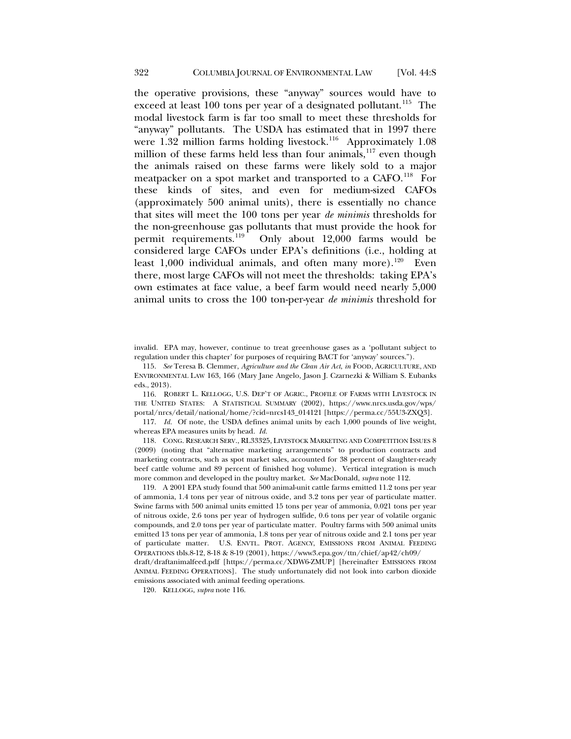<span id="page-23-8"></span><span id="page-23-0"></span>the operative provisions, these "anyway" sources would have to exceed at least 100 tons per year of a designated pollutant.<sup>[115](#page-23-1)</sup> The modal livestock farm is far too small to meet these thresholds for "anyway" pollutants. The USDA has estimated that in 1997 there were  $1.32$  million farms holding livestock.<sup>[116](#page-23-2)</sup> Approximately 1.08 million of these farms held less than four animals, $117$  even though the animals raised on these farms were likely sold to a major meatpacker on a spot market and transported to a CAFO.<sup>[118](#page-23-4)</sup> For these kinds of sites, and even for medium-sized CAFOs (approximately 500 animal units), there is essentially no chance that sites will meet the 100 tons per year *de minimis* thresholds for the non-greenhouse gas pollutants that must provide the hook for permit requirements.<sup>119</sup> Only about 12,000 farms would be Only about  $12,000$  farms would be considered large CAFOs under EPA's definitions (i.e., holding at least  $1,000$  individual animals, and often many more).<sup>120</sup> Even there, most large CAFOs will not meet the thresholds: taking EPA's own estimates at face value, a beef farm would need nearly 5,000 animal units to cross the 100 ton-per-year *de minimis* threshold for

<span id="page-23-7"></span>invalid. EPA may, however, continue to treat greenhouse gases as a 'pollutant subject to regulation under this chapter' for purposes of requiring BACT for 'anyway' sources.").

<span id="page-23-1"></span>115. *See* Teresa B. Clemmer, *Agriculture and the Clean Air Act*, *in* FOOD, AGRICULTURE, AND ENVIRONMENTAL LAW 163, 166 (Mary Jane Angelo, Jason J. Czarnezki & William S. Eubanks eds., 2013).

<span id="page-23-2"></span>116. ROBERT L. KELLOGG, U.S. DEP'T OF AGRIC., PROFILE OF FARMS WITH LIVESTOCK IN THE UNITED STATES: A STATISTICAL SUMMARY (2002), https://www.nrcs.usda.gov/wps/ portal/nrcs/detail/national/home/?cid=nrcs143\_014121 [https://perma.cc/55U3-ZXQ3].

<span id="page-23-3"></span>117. *Id.* Of note, the USDA defines animal units by each 1,000 pounds of live weight, whereas EPA measures units by head. *Id.*

<span id="page-23-4"></span>118. CONG. RESEARCH SERV., RL33325, LIVESTOCK MARKETING AND COMPETITION ISSUES 8 (2009) (noting that "alternative marketing arrangements" to production contracts and marketing contracts, such as spot market sales, accounted for 38 percent of slaughter-ready beef cattle volume and 89 percent of finished hog volume). Vertical integration is much more common and developed in the poultry market. *See* MacDonald, *supra* note [112.](#page-22-5)

<span id="page-23-5"></span>119. A 2001 EPA study found that 500 animal-unit cattle farms emitted 11.2 tons per year of ammonia, 1.4 tons per year of nitrous oxide, and 3.2 tons per year of particulate matter. Swine farms with 500 animal units emitted 15 tons per year of ammonia, 0.021 tons per year of nitrous oxide, 2.6 tons per year of hydrogen sulfide, 0.6 tons per year of volatile organic compounds, and 2.0 tons per year of particulate matter. Poultry farms with 500 animal units emitted 13 tons per year of ammonia, 1.8 tons per year of nitrous oxide and 2.1 tons per year of particulate matter. U.S. ENVTL. PROT. AGENCY, EMISSIONS FROM ANIMAL FEEDING OPERATIONS tbls.8-12, 8-18 & 8-19 (2001), https://www3.epa.gov/ttn/chief/ap42/ch09/

<span id="page-23-6"></span>draft/draftanimalfeed.pdf [\[https://perma.cc/XDW6-ZMUP\]](https://perma.cc/XDW6-ZMUP) [hereinafter EMISSIONS FROM ANIMAL FEEDING OPERATIONS]. The study unfortunately did not look into carbon dioxide emissions associated with animal feeding operations.

120. KELLOGG, *supra* not[e 116.](#page-23-0)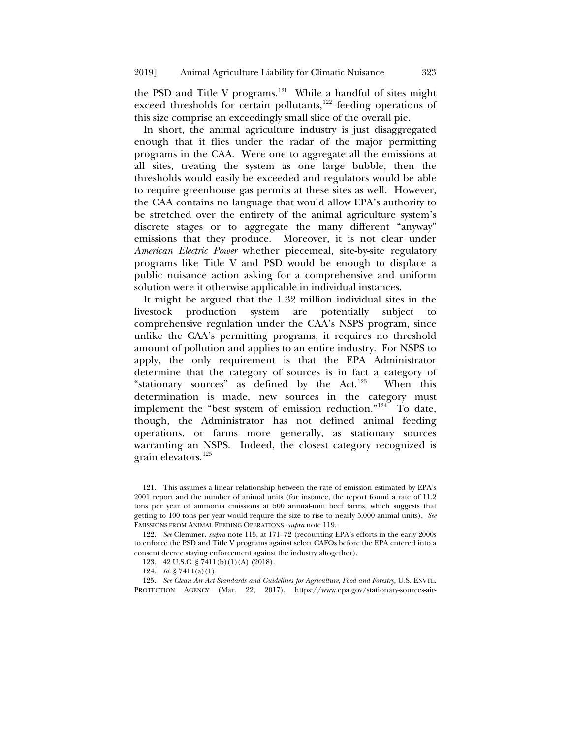the PSD and Title V programs.<sup>[121](#page-24-0)</sup> While a handful of sites might exceed thresholds for certain pollutants, $122$  feeding operations of this size comprise an exceedingly small slice of the overall pie.

In short, the animal agriculture industry is just disaggregated enough that it flies under the radar of the major permitting programs in the CAA. Were one to aggregate all the emissions at all sites, treating the system as one large bubble, then the thresholds would easily be exceeded and regulators would be able to require greenhouse gas permits at these sites as well. However, the CAA contains no language that would allow EPA's authority to be stretched over the entirety of the animal agriculture system's discrete stages or to aggregate the many different "anyway" emissions that they produce. Moreover, it is not clear under *American Electric Power* whether piecemeal, site-by-site regulatory programs like Title V and PSD would be enough to displace a public nuisance action asking for a comprehensive and uniform solution were it otherwise applicable in individual instances.

It might be argued that the 1.32 million individual sites in the livestock production system are potentially subject to comprehensive regulation under the CAA's NSPS program, since unlike the CAA's permitting programs, it requires no threshold amount of pollution and applies to an entire industry. For NSPS to apply, the only requirement is that the EPA Administrator determine that the category of sources is in fact a category of "stationary sources" as defined by the Act.<sup>123</sup> When this determination is made, new sources in the category must implement the "best system of emission reduction."[124](#page-24-3) To date, though, the Administrator has not defined animal feeding operations, or farms more generally, as stationary sources warranting an NSPS. Indeed, the closest category recognized is grain elevators.[125](#page-24-4)

<span id="page-24-0"></span><sup>121.</sup> This assumes a linear relationship between the rate of emission estimated by EPA's 2001 report and the number of animal units (for instance, the report found a rate of 11.2 tons per year of ammonia emissions at 500 animal-unit beef farms, which suggests that getting to 100 tons per year would require the size to rise to nearly 5,000 animal units). *See* EMISSIONS FROM ANIMAL FEEDING OPERATIONS, *supra* not[e 119.](#page-23-7)

<span id="page-24-1"></span><sup>122.</sup> *See* Clemmer*, supra* note [115,](#page-23-8) at 171–72 (recounting EPA's efforts in the early 2000s to enforce the PSD and Title V programs against select CAFOs before the EPA entered into a consent decree staying enforcement against the industry altogether).

<sup>123.</sup> 42 U.S.C. § 7411(b)(1)(A) (2018).

<sup>124.</sup> *Id*. § 7411(a)(1).

<span id="page-24-4"></span><span id="page-24-3"></span><span id="page-24-2"></span><sup>125.</sup> *See Clean Air Act Standards and Guidelines for Agriculture, Food and Forestry*, U.S. ENVTL. PROTECTION AGENCY (Mar. 22, 2017), https://www.epa.gov/stationary-sources-air-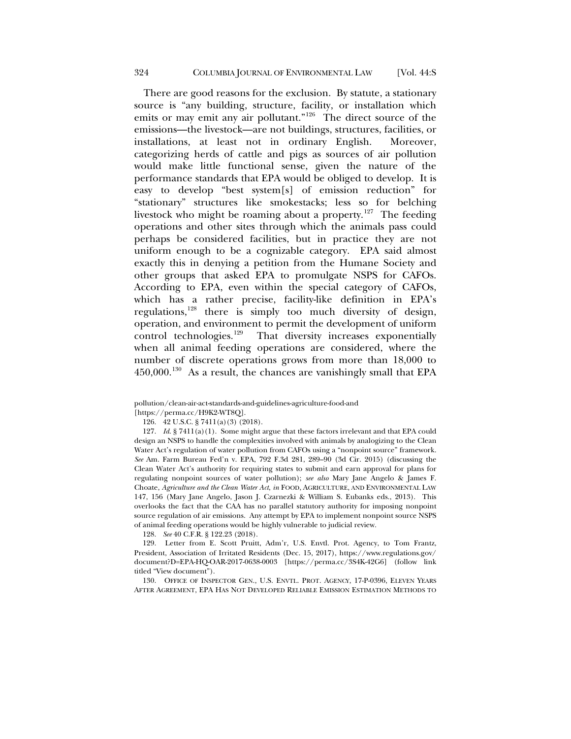There are good reasons for the exclusion. By statute, a stationary source is "any building, structure, facility, or installation which emits or may emit any air pollutant."<sup>[126](#page-25-0)</sup> The direct source of the emissions—the livestock—are not buildings, structures, facilities, or installations, at least not in ordinary English. Moreover, categorizing herds of cattle and pigs as sources of air pollution would make little functional sense, given the nature of the performance standards that EPA would be obliged to develop. It is easy to develop "best system[s] of emission reduction" for "stationary" structures like smokestacks; less so for belching livestock who might be roaming about a property.<sup>[127](#page-25-1)</sup> The feeding operations and other sites through which the animals pass could perhaps be considered facilities, but in practice they are not uniform enough to be a cognizable category. EPA said almost exactly this in denying a petition from the Humane Society and other groups that asked EPA to promulgate NSPS for CAFOs. According to EPA, even within the special category of CAFOs, which has a rather precise, facility-like definition in EPA's regulations,[128](#page-25-2) there is simply too much diversity of design, operation, and environment to permit the development of uniform control technologies. $129$  That diversity increases exponentially when all animal feeding operations are considered, where the number of discrete operations grows from more than 18,000 to  $450,000$ <sup>130</sup> As a result, the chances are vanishingly small that EPA

<span id="page-25-1"></span>127. *Id*. § 7411(a)(1). Some might argue that these factors irrelevant and that EPA could design an NSPS to handle the complexities involved with animals by analogizing to the Clean Water Act's regulation of water pollution from CAFOs using a "nonpoint source" framework. *See* Am. Farm Bureau Fed'n v. EPA, 792 F.3d 281, 289–90 (3d Cir. 2015) (discussing the Clean Water Act's authority for requiring states to submit and earn approval for plans for regulating nonpoint sources of water pollution); *see also* Mary Jane Angelo & James F. Choate, *Agriculture and the Clean Water Act*, *in* FOOD, AGRICULTURE, AND ENVIRONMENTAL LAW 147, 156 (Mary Jane Angelo, Jason J. Czarnezki & William S. Eubanks eds., 2013). This overlooks the fact that the CAA has no parallel statutory authority for imposing nonpoint source regulation of air emissions. Any attempt by EPA to implement nonpoint source NSPS of animal feeding operations would be highly vulnerable to judicial review.

128. *See* 40 C.F.R. § 122.23 (2018).

<span id="page-25-3"></span><span id="page-25-2"></span>129. Letter from E. Scott Pruitt, Adm'r, U.S. Envtl. Prot. Agency, to Tom Frantz, President, Association of Irritated Residents (Dec. 15, 2017), https://www.regulations.gov/ document?D=EPA-HQ-OAR-2017-0638-0003 [https://perma.cc/3S4K-42G6] (follow link titled "View document").

<span id="page-25-4"></span>130. OFFICE OF INSPECTOR GEN., U.S. ENVTL. PROT. AGENCY, 17-P-0396, ELEVEN YEARS AFTER AGREEMENT, EPA HAS NOT DEVELOPED RELIABLE EMISSION ESTIMATION METHODS TO

pollution/clean-air-act-standards-and-guidelines-agriculture-food-and

<span id="page-25-0"></span><sup>[</sup>https://perma.cc/H9K2-WT8Q].

<sup>126.</sup> 42 U.S.C. § 7411(a)(3) (2018).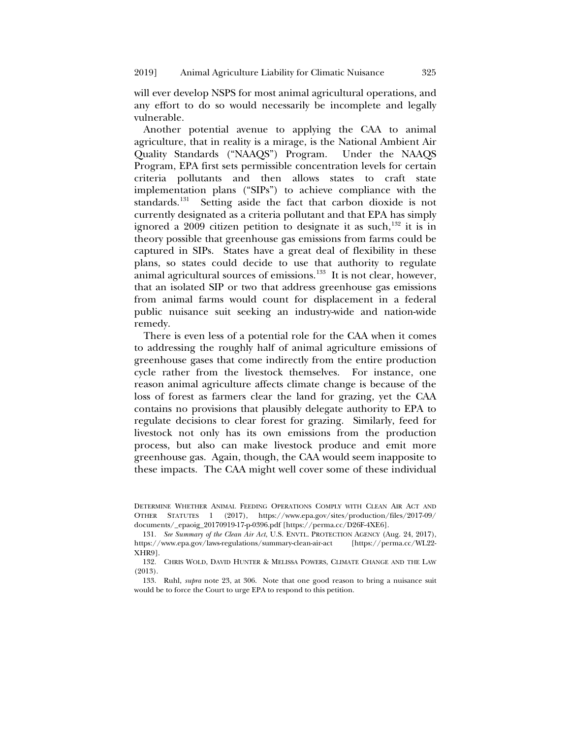will ever develop NSPS for most animal agricultural operations, and any effort to do so would necessarily be incomplete and legally vulnerable.

Another potential avenue to applying the CAA to animal agriculture, that in reality is a mirage, is the National Ambient Air Quality Standards ("NAAQS") Program. Under the NAAQS Program, EPA first sets permissible concentration levels for certain criteria pollutants and then allows states to craft state implementation plans ("SIPs") to achieve compliance with the standards.<sup>[131](#page-26-0)</sup> Setting aside the fact that carbon dioxide is not currently designated as a criteria pollutant and that EPA has simply ignored a  $2009$  citizen petition to designate it as such,<sup>[132](#page-26-1)</sup> it is in theory possible that greenhouse gas emissions from farms could be captured in SIPs. States have a great deal of flexibility in these plans, so states could decide to use that authority to regulate animal agricultural sources of emissions.<sup>[133](#page-26-2)</sup> It is not clear, however, that an isolated SIP or two that address greenhouse gas emissions from animal farms would count for displacement in a federal public nuisance suit seeking an industry-wide and nation-wide remedy.

There is even less of a potential role for the CAA when it comes to addressing the roughly half of animal agriculture emissions of greenhouse gases that come indirectly from the entire production cycle rather from the livestock themselves. For instance, one reason animal agriculture affects climate change is because of the loss of forest as farmers clear the land for grazing, yet the CAA contains no provisions that plausibly delegate authority to EPA to regulate decisions to clear forest for grazing. Similarly, feed for livestock not only has its own emissions from the production process, but also can make livestock produce and emit more greenhouse gas. Again, though, the CAA would seem inapposite to these impacts. The CAA might well cover some of these individual

<span id="page-26-1"></span>132. CHRIS WOLD, DAVID HUNTER & MELISSA POWERS, CLIMATE CHANGE AND THE LAW (2013).

<span id="page-26-2"></span>133. Ruhl, *supra* note [23,](#page-5-6) at 306. Note that one good reason to bring a nuisance suit would be to force the Court to urge EPA to respond to this petition.

DETERMINE WHETHER ANIMAL FEEDING OPERATIONS COMPLY WITH CLEAN AIR ACT AND OTHER STATUTES 1 (2017), https://www.epa.gov/sites/production/files/2017-09/ documents/\_epaoig\_20170919-17-p-0396.pdf [https://perma.cc/D26F-4XE6].

<span id="page-26-0"></span><sup>131.</sup> *See Summary of the Clean Air Act*, U.S. ENVTL. PROTECTION AGENCY (Aug. 24, 2017), https://www.epa.gov/laws-regulations/summary-clean-air-act [\[https://perma.cc/WL22-](https://perma.cc/WL22-XHR9) [XHR9\]](https://perma.cc/WL22-XHR9).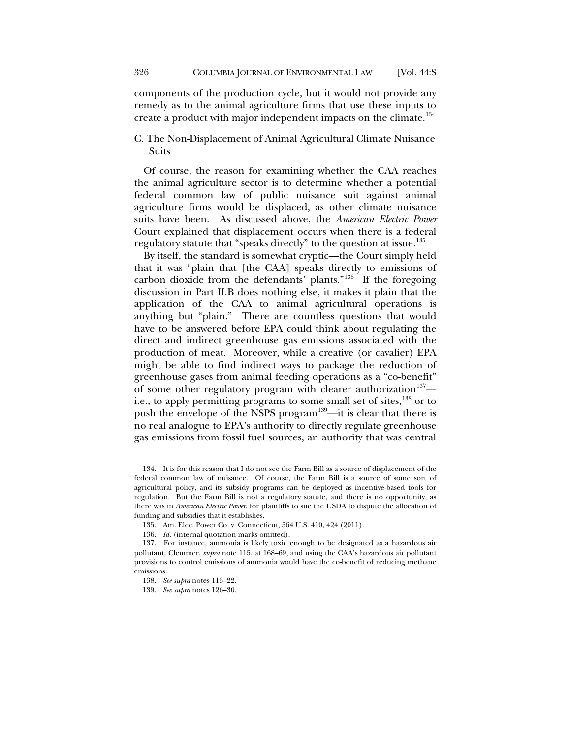components of the production cycle, but it would not provide any remedy as to the animal agriculture firms that use these inputs to create a product with major independent impacts on the climate.<sup>[134](#page-27-0)</sup>

# C. The Non-Displacement of Animal Agricultural Climate Nuisance Suits

Of course, the reason for examining whether the CAA reaches the animal agriculture sector is to determine whether a potential federal common law of public nuisance suit against animal agriculture firms would be displaced, as other climate nuisance suits have been. As discussed above, the *American Electric Power* Court explained that displacement occurs when there is a federal regulatory statute that "speaks directly" to the question at issue[.135](#page-27-1)

By itself, the standard is somewhat cryptic—the Court simply held that it was "plain that [the CAA] speaks directly to emissions of carbon dioxide from the defendants' plants."[136](#page-27-2) If the foregoing discussion in Part II.B does nothing else, it makes it plain that the application of the CAA to animal agricultural operations is anything but "plain." There are countless questions that would have to be answered before EPA could think about regulating the direct and indirect greenhouse gas emissions associated with the production of meat. Moreover, while a creative (or cavalier) EPA might be able to find indirect ways to package the reduction of greenhouse gases from animal feeding operations as a "co-benefit" of some other regulatory program with clearer authorization<sup>137</sup>— i.e., to apply permitting programs to some small set of sites,<sup>[138](#page-27-4)</sup> or to push the envelope of the NSPS program<sup>[139](#page-27-5)</sup>—it is clear that there is no real analogue to EPA's authority to directly regulate greenhouse gas emissions from fossil fuel sources, an authority that was central

<span id="page-27-0"></span>134. It is for this reason that I do not see the Farm Bill as a source of displacement of the federal common law of nuisance. Of course, the Farm Bill is a source of some sort of agricultural policy, and its subsidy programs can be deployed as incentive-based tools for regulation. But the Farm Bill is not a regulatory statute, and there is no opportunity, as there was in *American Electric Power*, for plaintiffs to sue the USDA to dispute the allocation of funding and subsidies that it establishes.

135. Am. Elec. Power Co. v. Connecticut, 564 U.S. 410, 424 (2011).

136. *Id.* (internal quotation marks omitted).

<span id="page-27-5"></span><span id="page-27-4"></span><span id="page-27-3"></span><span id="page-27-2"></span><span id="page-27-1"></span>137. For instance, ammonia is likely toxic enough to be designated as a hazardous air pollutant, Clemmer, *supra* note [115,](#page-23-8) at 168–69, and using the CAA's hazardous air pollutant provisions to control emissions of ammonia would have the co-benefit of reducing methane emissions.

138. *See supra* notes 113–22.

139. *See supra* notes 126–30.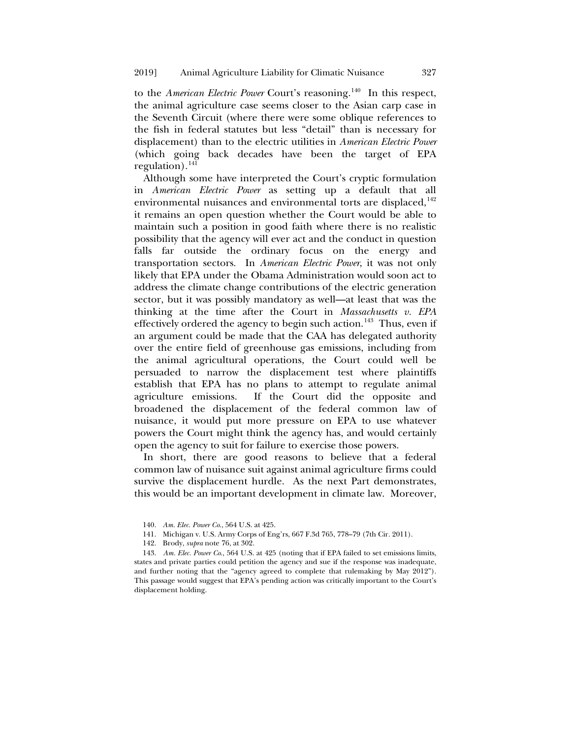to the *American Electric Power* Court's reasoning.<sup>140</sup> In this respect, the animal agriculture case seems closer to the Asian carp case in the Seventh Circuit (where there were some oblique references to the fish in federal statutes but less "detail" than is necessary for displacement) than to the electric utilities in *American Electric Power* (which going back decades have been the target of EPA regulation). $^{141}$  $^{141}$  $^{141}$ 

Although some have interpreted the Court's cryptic formulation in *American Electric Power* as setting up a default that all environmental nuisances and environmental torts are displaced,<sup>[142](#page-28-2)</sup> it remains an open question whether the Court would be able to maintain such a position in good faith where there is no realistic possibility that the agency will ever act and the conduct in question falls far outside the ordinary focus on the energy and transportation sectors. In *American Electric Power*, it was not only likely that EPA under the Obama Administration would soon act to address the climate change contributions of the electric generation sector, but it was possibly mandatory as well—at least that was the thinking at the time after the Court in *Massachusetts v. EPA* effectively ordered the agency to begin such action.<sup>143</sup> Thus, even if an argument could be made that the CAA has delegated authority over the entire field of greenhouse gas emissions, including from the animal agricultural operations, the Court could well be persuaded to narrow the displacement test where plaintiffs establish that EPA has no plans to attempt to regulate animal agriculture emissions. If the Court did the opposite and broadened the displacement of the federal common law of nuisance, it would put more pressure on EPA to use whatever powers the Court might think the agency has, and would certainly open the agency to suit for failure to exercise those powers.

In short, there are good reasons to believe that a federal common law of nuisance suit against animal agriculture firms could survive the displacement hurdle. As the next Part demonstrates, this would be an important development in climate law. Moreover,

- 141. Michigan v. U.S. Army Corps of Eng'rs, 667 F.3d 765, 778–79 (7th Cir. 2011).
- 142. Brody, *supra* not[e 76,](#page-15-6) at 302.

<span id="page-28-3"></span><span id="page-28-2"></span><span id="page-28-1"></span><span id="page-28-0"></span>143. *Am. Elec. Power Co*., 564 U.S. at 425 (noting that if EPA failed to set emissions limits, states and private parties could petition the agency and sue if the response was inadequate, and further noting that the "agency agreed to complete that rulemaking by May 2012"). This passage would suggest that EPA's pending action was critically important to the Court's displacement holding.

<sup>140.</sup> *Am. Elec. Power Co*., 564 U.S. at 425.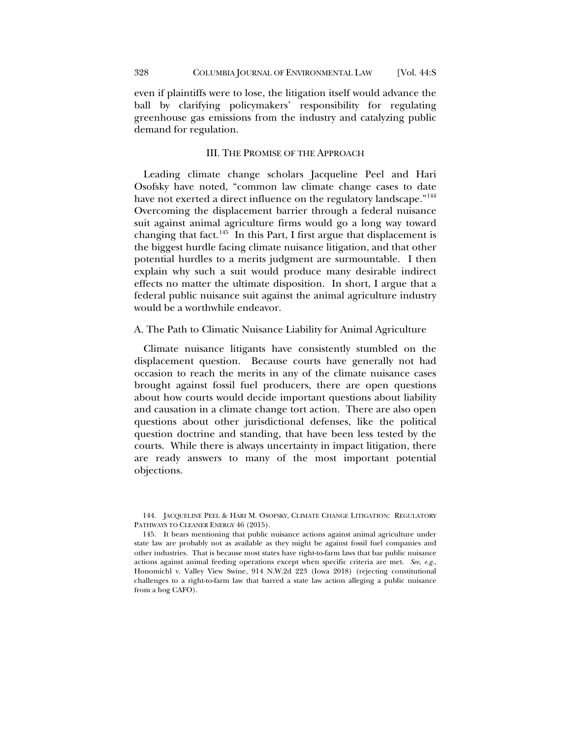even if plaintiffs were to lose, the litigation itself would advance the ball by clarifying policymakers' responsibility for regulating greenhouse gas emissions from the industry and catalyzing public demand for regulation.

#### <span id="page-29-2"></span>III. THE PROMISE OF THE APPROACH

Leading climate change scholars Jacqueline Peel and Hari Osofsky have noted, "common law climate change cases to date have not exerted a direct influence on the regulatory landscape."<sup>[144](#page-29-0)</sup> Overcoming the displacement barrier through a federal nuisance suit against animal agriculture firms would go a long way toward changing that fact. $145$  In this Part, I first argue that displacement is the biggest hurdle facing climate nuisance litigation, and that other potential hurdles to a merits judgment are surmountable. I then explain why such a suit would produce many desirable indirect effects no matter the ultimate disposition. In short, I argue that a federal public nuisance suit against the animal agriculture industry would be a worthwhile endeavor.

A. The Path to Climatic Nuisance Liability for Animal Agriculture

Climate nuisance litigants have consistently stumbled on the displacement question. Because courts have generally not had occasion to reach the merits in any of the climate nuisance cases brought against fossil fuel producers, there are open questions about how courts would decide important questions about liability and causation in a climate change tort action. There are also open questions about other jurisdictional defenses, like the political question doctrine and standing, that have been less tested by the courts. While there is always uncertainty in impact litigation, there are ready answers to many of the most important potential objections.

<span id="page-29-0"></span>144. JACQUELINE PEEL & HARI M. OSOFSKY, CLIMATE CHANGE LITIGATION: REGULATORY PATHWAYS TO CLEANER ENERGY 46 (2015).

<span id="page-29-1"></span>145. It bears mentioning that public nuisance actions against animal agriculture under state law are probably not as available as they might be against fossil fuel companies and other industries. That is because most states have right-to-farm laws that bar public nuisance actions against animal feeding operations except when specific criteria are met. *See, e.g.*, Honomichl v. Valley View Swine, 914 N.W.2d 223 (Iowa 2018) (rejecting constitutional challenges to a right-to-farm law that barred a state law action alleging a public nuisance from a hog CAFO).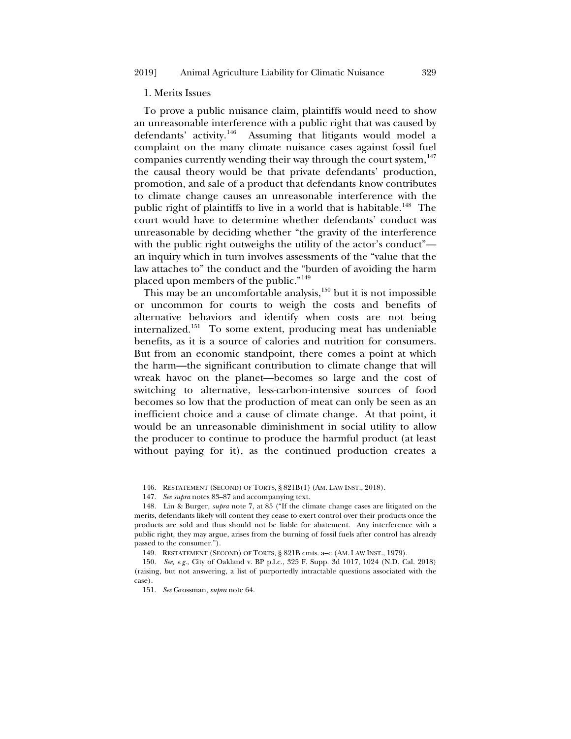## 1. Merits Issues

To prove a public nuisance claim, plaintiffs would need to show an unreasonable interference with a public right that was caused by defendants' activity.[146](#page-30-0) Assuming that litigants would model a complaint on the many climate nuisance cases against fossil fuel companies currently wending their way through the court system,  $147$ the causal theory would be that private defendants' production, promotion, and sale of a product that defendants know contributes to climate change causes an unreasonable interference with the public right of plaintiffs to live in a world that is habitable.<sup>[148](#page-30-2)</sup> The court would have to determine whether defendants' conduct was unreasonable by deciding whether "the gravity of the interference with the public right outweighs the utility of the actor's conduct" an inquiry which in turn involves assessments of the "value that the law attaches to" the conduct and the "burden of avoiding the harm placed upon members of the public."[149](#page-30-3)

This may be an uncomfortable analysis,<sup>[150](#page-30-4)</sup> but it is not impossible or uncommon for courts to weigh the costs and benefits of alternative behaviors and identify when costs are not being internalized.[151](#page-30-5) To some extent, producing meat has undeniable benefits, as it is a source of calories and nutrition for consumers. But from an economic standpoint, there comes a point at which the harm—the significant contribution to climate change that will wreak havoc on the planet—becomes so large and the cost of switching to alternative, less-carbon-intensive sources of food becomes so low that the production of meat can only be seen as an inefficient choice and a cause of climate change. At that point, it would be an unreasonable diminishment in social utility to allow the producer to continue to produce the harmful product (at least without paying for it), as the continued production creates a

146. RESTATEMENT (SECOND) OF TORTS, § 821B(1) (AM. LAW INST., 2018).

147. *See supra* notes 83–87 and accompanying text.

<span id="page-30-2"></span><span id="page-30-1"></span><span id="page-30-0"></span>148. Lin & Burger, *supra* note [7,](#page-3-0) at 85 ("If the climate change cases are litigated on the merits, defendants likely will content they cease to exert control over their products once the products are sold and thus should not be liable for abatement. Any interference with a public right, they may argue, arises from the burning of fossil fuels after control has already passed to the consumer.").

149. RESTATEMENT (SECOND) OF TORTS, § 821B cmts. a–e (AM. LAW INST., 1979).

<span id="page-30-5"></span><span id="page-30-4"></span><span id="page-30-3"></span>150. *See, e.g.*, City of Oakland v. BP p.l.c., 325 F. Supp. 3d 1017, 1024 (N.D. Cal. 2018) (raising, but not answering, a list of purportedly intractable questions associated with the case).

151. *See* Grossman, *supra* note [64.](#page-13-5)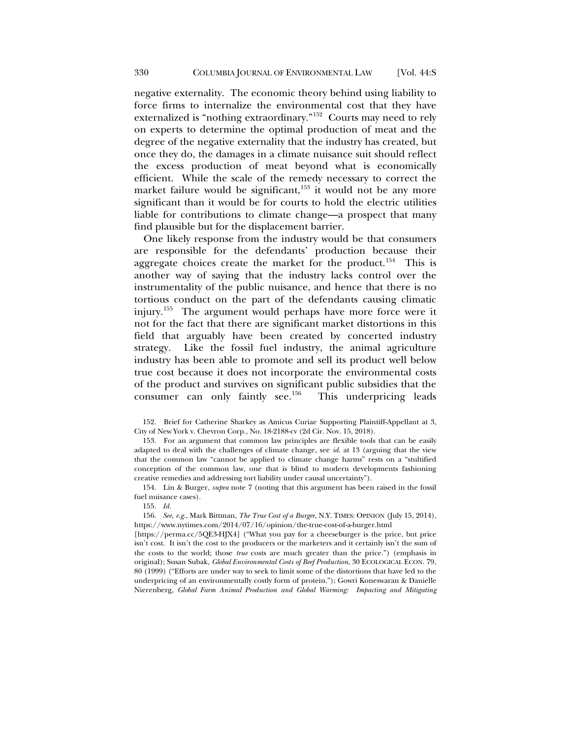negative externality. The economic theory behind using liability to force firms to internalize the environmental cost that they have externalized is "nothing extraordinary."[152](#page-31-0) Courts may need to rely on experts to determine the optimal production of meat and the degree of the negative externality that the industry has created, but once they do, the damages in a climate nuisance suit should reflect the excess production of meat beyond what is economically efficient. While the scale of the remedy necessary to correct the market failure would be significant,<sup>[153](#page-31-1)</sup> it would not be any more significant than it would be for courts to hold the electric utilities liable for contributions to climate change—a prospect that many find plausible but for the displacement barrier.

One likely response from the industry would be that consumers are responsible for the defendants' production because their aggregate choices create the market for the product.<sup>154</sup> This is another way of saying that the industry lacks control over the instrumentality of the public nuisance, and hence that there is no tortious conduct on the part of the defendants causing climatic injury.[155](#page-31-3) The argument would perhaps have more force were it not for the fact that there are significant market distortions in this field that arguably have been created by concerted industry strategy. Like the fossil fuel industry, the animal agriculture industry has been able to promote and sell its product well below true cost because it does not incorporate the environmental costs of the product and survives on significant public subsidies that the consumer can only faintly see.<sup>156</sup> This underpricing leads consumer can only faintly see. $156$ 

<span id="page-31-0"></span>152. Brief for Catherine Sharkey as Amicus Curiae Supporting Plaintiff-Appellant at 3, City of New York v. Chevron Corp., No. 18-2188-cv (2d Cir. Nov. 15, 2018).

<span id="page-31-1"></span>153. For an argument that common law principles are flexible tools that can be easily adapted to deal with the challenges of climate change, see *id*. at 13 (arguing that the view that the common law "cannot be applied to climate change harms" rests on a "stultified conception of the common law, one that is blind to modern developments fashioning creative remedies and addressing tort liability under causal uncertainty").

<span id="page-31-2"></span>154. Lin & Burger, *supra* note [7](#page-3-0) (noting that this argument has been raised in the fossil fuel nuisance cases).

155. *Id.*

<span id="page-31-4"></span><span id="page-31-3"></span>156. *See, e.g.*, Mark Bittman, *The True Cost of a Burger*, N.Y. TIMES: OPINION (July 15, 2014), https://www.nytimes.com/2014/07/16/opinion/the-true-cost-of-a-burger.html

[https://perma.cc/5QE3-HJX4] ("What you pay for a cheeseburger is the price, but price isn't cost. It isn't the cost to the producers or the marketers and it certainly isn't the sum of the costs to the world; those *true* costs are much greater than the price.") (emphasis in original); Susan Subak, *Global Environmental Costs of Beef Production*, 30 ECOLOGICAL ECON. 79, 80 (1999) ("Efforts are under way to seek to limit some of the distortions that have led to the underpricing of an environmentally costly form of protein."); Gowri Koneswaran & Danielle Nierenberg, *Global Farm Animal Production and Global Warming: Impacting and Mitigating*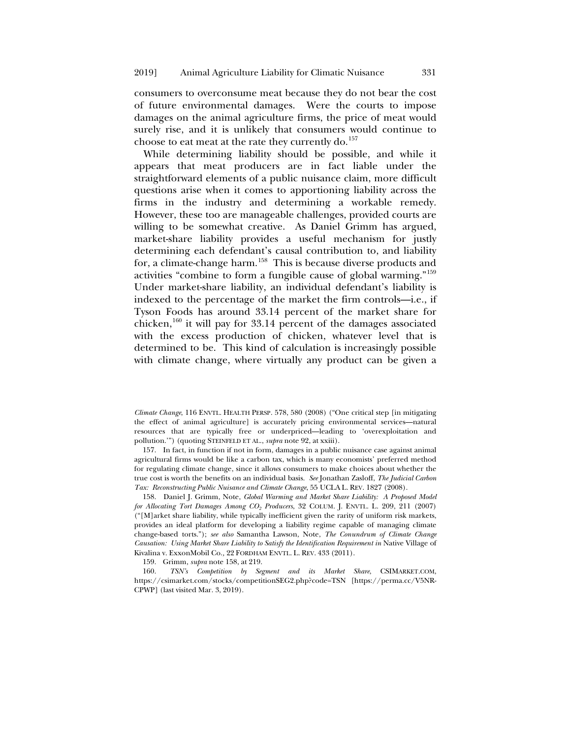consumers to overconsume meat because they do not bear the cost of future environmental damages. Were the courts to impose damages on the animal agriculture firms, the price of meat would surely rise, and it is unlikely that consumers would continue to choose to eat meat at the rate they currently do.<sup>[157](#page-32-1)</sup>

<span id="page-32-5"></span><span id="page-32-0"></span>While determining liability should be possible, and while it appears that meat producers are in fact liable under the straightforward elements of a public nuisance claim, more difficult questions arise when it comes to apportioning liability across the firms in the industry and determining a workable remedy. However, these too are manageable challenges, provided courts are willing to be somewhat creative. As Daniel Grimm has argued, market-share liability provides a useful mechanism for justly determining each defendant's causal contribution to, and liability for, a climate-change harm.<sup>158</sup> This is because diverse products and activities "combine to form a fungible cause of global warming."[159](#page-32-3) Under market-share liability, an individual defendant's liability is indexed to the percentage of the market the firm controls—i.e., if Tyson Foods has around 33.14 percent of the market share for chicken, $160$  it will pay for 33.14 percent of the damages associated with the excess production of chicken, whatever level that is determined to be. This kind of calculation is increasingly possible with climate change, where virtually any product can be given a

*Climate Change*, 116 ENVTL. HEALTH PERSP. 578, 580 (2008) ("One critical step [in mitigating the effect of animal agriculture] is accurately pricing environmental services—natural resources that are typically free or underpriced—leading to 'overexploitation and pollution.'") (quoting STEINFELD ET AL., *supra* note 92, at xxiii).

<span id="page-32-1"></span>157. In fact, in function if not in form, damages in a public nuisance case against animal agricultural firms would be like a carbon tax, which is many economists' preferred method for regulating climate change, since it allows consumers to make choices about whether the true cost is worth the benefits on an individual basis. *See* Jonathan Zasloff, *The Judicial Carbon Tax: Reconstructing Public Nuisance and Climate Change*, 55 UCLA L. REV. 1827 (2008).

<span id="page-32-2"></span>158. Daniel J. Grimm, Note, *Global Warming and Market Share Liability: A Proposed Model for Allocating Tort Damages Among CO2 Producers*, 32 COLUM. J. ENVTL. L. 209, 211 (2007) ("[M]arket share liability, while typically inefficient given the rarity of uniform risk markets, provides an ideal platform for developing a liability regime capable of managing climate change-based torts."); *see also* Samantha Lawson, Note, *The Conundrum of Climate Change Causation: Using Market Share Liability to Satisfy the Identification Requirement in Native Village of* Kivalina v. ExxonMobil Co.*,* 22 FORDHAM ENVTL. L. REV. 433 (2011).

159. Grimm, *supra* not[e 158,](#page-32-0) at 219.

<span id="page-32-4"></span><span id="page-32-3"></span>160. *TSN's Competition by Segment and its Market Share*, CSIMARKET.COM, https://csimarket.com/stocks/competitionSEG2.php?code=TSN [https://perma.cc/V5NR-CPWP] (last visited Mar. 3, 2019).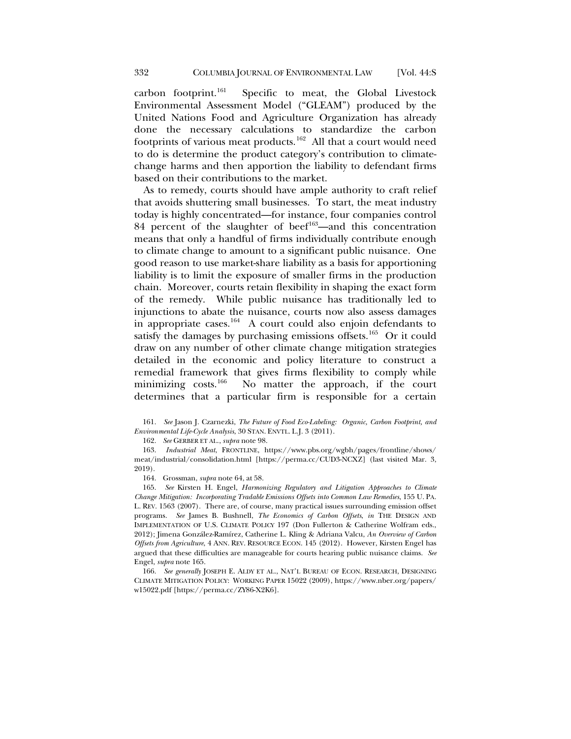carbon footprint.[161](#page-33-1) Specific to meat, the Global Livestock Environmental Assessment Model ("GLEAM") produced by the United Nations Food and Agriculture Organization has already done the necessary calculations to standardize the carbon footprints of various meat products.<sup>162</sup> All that a court would need to do is determine the product category's contribution to climatechange harms and then apportion the liability to defendant firms based on their contributions to the market.

As to remedy, courts should have ample authority to craft relief that avoids shuttering small businesses. To start, the meat industry today is highly concentrated—for instance, four companies control 84 percent of the slaughter of beef $163$ —and this concentration means that only a handful of firms individually contribute enough to climate change to amount to a significant public nuisance. One good reason to use market-share liability as a basis for apportioning liability is to limit the exposure of smaller firms in the production chain. Moreover, courts retain flexibility in shaping the exact form of the remedy. While public nuisance has traditionally led to injunctions to abate the nuisance, courts now also assess damages in appropriate cases.[164](#page-33-4) A court could also enjoin defendants to satisfy the damages by purchasing emissions offsets.<sup>165</sup> Or it could draw on any number of other climate change mitigation strategies detailed in the economic and policy literature to construct a remedial framework that gives firms flexibility to comply while minimizing costs.[166](#page-33-6) No matter the approach, if the court determines that a particular firm is responsible for a certain

<span id="page-33-3"></span><span id="page-33-2"></span>163. *Industrial Meat*, FRONTLINE, https://www.pbs.org/wgbh/pages/frontline/shows/ meat/industrial/consolidation.html [https://perma.cc/CUD3-NCXZ] (last visited Mar. 3, 2019).

164. Grossman, *supra* not[e 64,](#page-13-5) at 58.

<span id="page-33-5"></span><span id="page-33-4"></span>165. *See* Kirsten H. Engel, *Harmonizing Regulatory and Litigation Approaches to Climate Change Mitigation: Incorporating Tradable Emissions Offsets into Common Law Remedies*, 155 U. PA. L. REV. 1563 (2007). There are, of course, many practical issues surrounding emission offset programs. *See* James B. Bushnell, *The Economics of Carbon Offsets*, *in* THE DESIGN AND IMPLEMENTATION OF U.S. CLIMATE POLICY 197 (Don Fullerton & Catherine Wolfram eds., 2012); Jimena González-Ramírez, Catherine L. Kling & Adriana Valcu, *An Overview of Carbon Offsets from Agriculture*, 4 ANN. REV. RESOURCE ECON. 145 (2012). However, Kirsten Engel has argued that these difficulties are manageable for courts hearing public nuisance claims. *See*  Engel, *supra* not[e 165.](#page-33-0)

<span id="page-33-6"></span>166. *See generally* JOSEPH E. ALDY ET AL., NAT'L BUREAU OF ECON. RESEARCH, DESIGNING CLIMATE MITIGATION POLICY: WORKING PAPER 15022 (2009), https://www.nber.org/papers/ w15022.pdf [https://perma.cc/ZY86-X2K6].

<span id="page-33-1"></span><span id="page-33-0"></span><sup>161.</sup> *See* Jason J. Czarnezki, *The Future of Food Eco-Labeling: Organic, Carbon Footprint, and Environmental Life-Cycle Analysis*, 30 STAN. ENVTL. L.J. 3 (2011).

<sup>162.</sup> *See* GERBER ET AL., *supra* not[e 98.](#page-19-10)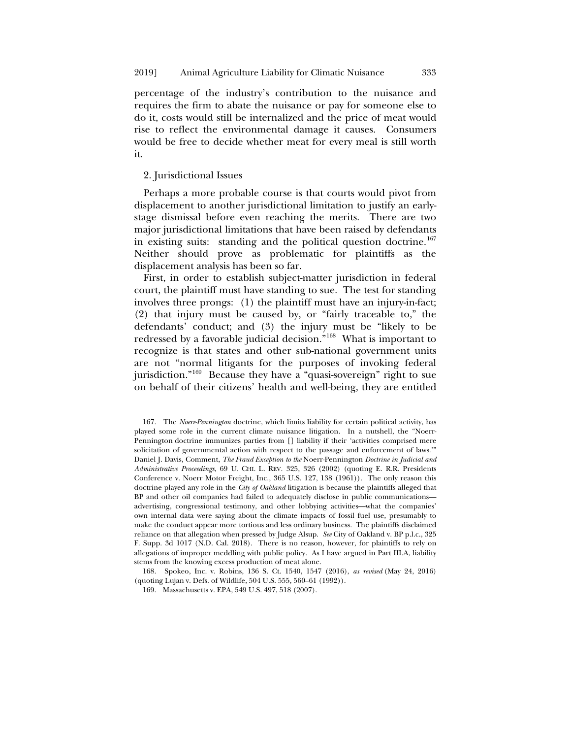percentage of the industry's contribution to the nuisance and requires the firm to abate the nuisance or pay for someone else to do it, costs would still be internalized and the price of meat would rise to reflect the environmental damage it causes. Consumers would be free to decide whether meat for every meal is still worth it.

# 2. Jurisdictional Issues

Perhaps a more probable course is that courts would pivot from displacement to another jurisdictional limitation to justify an earlystage dismissal before even reaching the merits. There are two major jurisdictional limitations that have been raised by defendants in existing suits: standing and the political question doctrine.<sup>[167](#page-34-0)</sup> Neither should prove as problematic for plaintiffs as the displacement analysis has been so far.

First, in order to establish subject-matter jurisdiction in federal court, the plaintiff must have standing to sue. The test for standing involves three prongs: (1) the plaintiff must have an injury-in-fact; (2) that injury must be caused by, or "fairly traceable to," the defendants' conduct; and (3) the injury must be "likely to be redressed by a favorable judicial decision."[168](#page-34-1) What is important to recognize is that states and other sub-national government units are not "normal litigants for the purposes of invoking federal jurisdiction."<sup>[169](#page-34-2)</sup> Because they have a "quasi-sovereign" right to sue on behalf of their citizens' health and well-being, they are entitled

<span id="page-34-0"></span>167. The *Noerr-Pennington* doctrine, which limits liability for certain political activity, has played some role in the current climate nuisance litigation. In a nutshell, the "Noerr-Pennington doctrine immunizes parties from [] liability if their 'activities comprised mere solicitation of governmental action with respect to the passage and enforcement of laws.'" Daniel J. Davis, Comment, *The Fraud Exception to the* Noerr-Pennington *Doctrine in Judicial and Administrative Proceedings*, 69 U. CHI. L. REV. 325, 326 (2002) (quoting E. R.R. Presidents Conference v. Noerr Motor Freight, Inc., 365 U.S. 127, 138 (1961))*.* The only reason this doctrine played any role in the *City of Oakland* litigation is because the plaintiffs alleged that BP and other oil companies had failed to adequately disclose in public communications advertising, congressional testimony, and other lobbying activities—what the companies' own internal data were saying about the climate impacts of fossil fuel use, presumably to make the conduct appear more tortious and less ordinary business. The plaintiffs disclaimed reliance on that allegation when pressed by Judge Alsup. *See* City of Oakland v. BP p.l.c., 325 F. Supp. 3d 1017 (N.D. Cal. 2018). There is no reason, however, for plaintiffs to rely on allegations of improper meddling with public policy. As I have argued in Part III.A, liability stems from the knowing excess production of meat alone.

<span id="page-34-2"></span><span id="page-34-1"></span>168. Spokeo, Inc. v. Robins, 136 S. Ct. 1540, 1547 (2016), *as revised* (May 24, 2016) (quoting Lujan v. Defs. of Wildlife, 504 U.S. 555, 560–61 (1992)).

169. Massachusetts v. EPA, 549 U.S. 497, 518 (2007).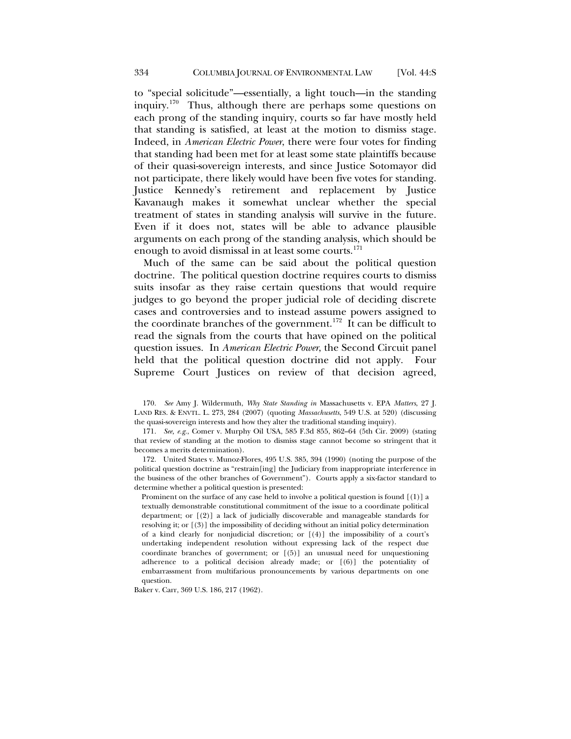to "special solicitude"—essentially, a light touch—in the standing inquiry.[170](#page-35-0) Thus, although there are perhaps some questions on each prong of the standing inquiry, courts so far have mostly held that standing is satisfied, at least at the motion to dismiss stage. Indeed, in *American Electric Power*, there were four votes for finding that standing had been met for at least some state plaintiffs because of their quasi-sovereign interests, and since Justice Sotomayor did not participate, there likely would have been five votes for standing. Justice Kennedy's retirement and replacement by Justice Kavanaugh makes it somewhat unclear whether the special treatment of states in standing analysis will survive in the future. Even if it does not, states will be able to advance plausible arguments on each prong of the standing analysis, which should be enough to avoid dismissal in at least some courts.<sup>[171](#page-35-1)</sup>

Much of the same can be said about the political question doctrine. The political question doctrine requires courts to dismiss suits insofar as they raise certain questions that would require judges to go beyond the proper judicial role of deciding discrete cases and controversies and to instead assume powers assigned to the coordinate branches of the government.<sup>172</sup> It can be difficult to read the signals from the courts that have opined on the political question issues. In *American Electric Power*, the Second Circuit panel held that the political question doctrine did not apply. Four Supreme Court Justices on review of that decision agreed,

<span id="page-35-0"></span>170. *See* Amy J. Wildermuth, *Why State Standing in* Massachusetts v. EPA *Matters*, 27 J. LAND RES. & ENVTL. L. 273, 284 (2007) (quoting *Massachusetts*, 549 U.S. at 520) (discussing the quasi-sovereign interests and how they alter the traditional standing inquiry).

<span id="page-35-1"></span>171. *See, e.g.*, Comer v. Murphy Oil USA, 585 F.3d 855, 862–64 (5th Cir. 2009) (stating that review of standing at the motion to dismiss stage cannot become so stringent that it becomes a merits determination).

<span id="page-35-2"></span>172. United States v. Munoz-Flores, 495 U.S. 385, 394 (1990) (noting the purpose of the political question doctrine as "restrain[ing] the Judiciary from inappropriate interference in the business of the other branches of Government"). Courts apply a six-factor standard to determine whether a political question is presented:

Prominent on the surface of any case held to involve a political question is found [(1)] a textually demonstrable constitutional commitment of the issue to a coordinate political department; or [(2)] a lack of judicially discoverable and manageable standards for resolving it; or [(3)] the impossibility of deciding without an initial policy determination of a kind clearly for nonjudicial discretion; or  $[(4)]$  the impossibility of a court's undertaking independent resolution without expressing lack of the respect due coordinate branches of government; or [(5)] an unusual need for unquestioning adherence to a political decision already made; or [(6)] the potentiality of embarrassment from multifarious pronouncements by various departments on one question.

Baker v. Carr, 369 U.S. 186, 217 (1962).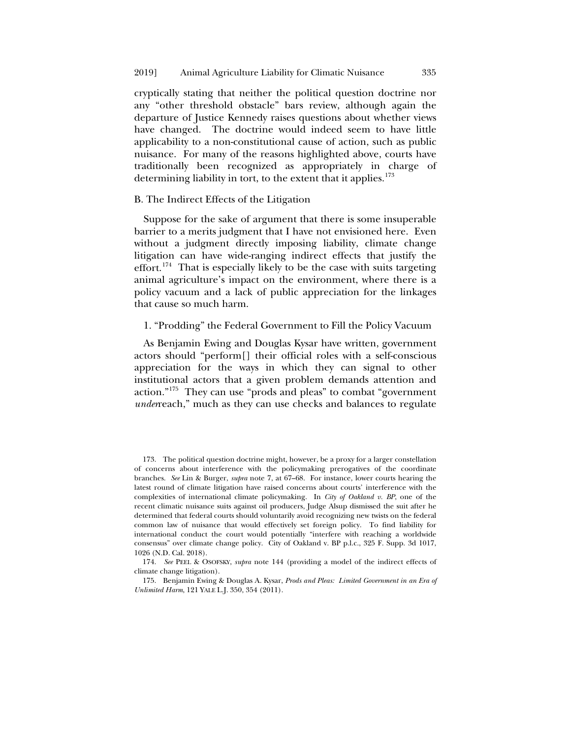cryptically stating that neither the political question doctrine nor any "other threshold obstacle" bars review, although again the departure of Justice Kennedy raises questions about whether views have changed. The doctrine would indeed seem to have little applicability to a non-constitutional cause of action, such as public nuisance. For many of the reasons highlighted above, courts have traditionally been recognized as appropriately in charge of determining liability in tort, to the extent that it applies.<sup>[173](#page-36-0)</sup>

#### B. The Indirect Effects of the Litigation

Suppose for the sake of argument that there is some insuperable barrier to a merits judgment that I have not envisioned here. Even without a judgment directly imposing liability, climate change litigation can have wide-ranging indirect effects that justify the effort.<sup>[174](#page-36-1)</sup> That is especially likely to be the case with suits targeting animal agriculture's impact on the environment, where there is a policy vacuum and a lack of public appreciation for the linkages that cause so much harm.

#### 1. "Prodding" the Federal Government to Fill the Policy Vacuum

As Benjamin Ewing and Douglas Kysar have written, government actors should "perform[] their official roles with a self-conscious appreciation for the ways in which they can signal to other institutional actors that a given problem demands attention and action.["175](#page-36-2) They can use "prods and pleas" to combat "government *under*reach," much as they can use checks and balances to regulate

<span id="page-36-0"></span>173. The political question doctrine might, however, be a proxy for a larger constellation of concerns about interference with the policymaking prerogatives of the coordinate branches. *See* Lin & Burger, *supra* note [7,](#page-3-0) at 67–68. For instance, lower courts hearing the latest round of climate litigation have raised concerns about courts' interference with the complexities of international climate policymaking. In *City of Oakland v. BP*, one of the recent climatic nuisance suits against oil producers, Judge Alsup dismissed the suit after he determined that federal courts should voluntarily avoid recognizing new twists on the federal common law of nuisance that would effectively set foreign policy. To find liability for international conduct the court would potentially "interfere with reaching a worldwide consensus" over climate change policy. City of Oakland v. BP p.l.c., 325 F. Supp. 3d 1017, 1026 (N.D. Cal. 2018).

<span id="page-36-1"></span>174. *See* PEEL & OSOFSKY, *supra* note [144](#page-29-2) (providing a model of the indirect effects of climate change litigation).

<span id="page-36-2"></span>175. Benjamin Ewing & Douglas A. Kysar, *Prods and Pleas: Limited Government in an Era of Unlimited Harm*, 121 YALE L.J. 350, 354 (2011).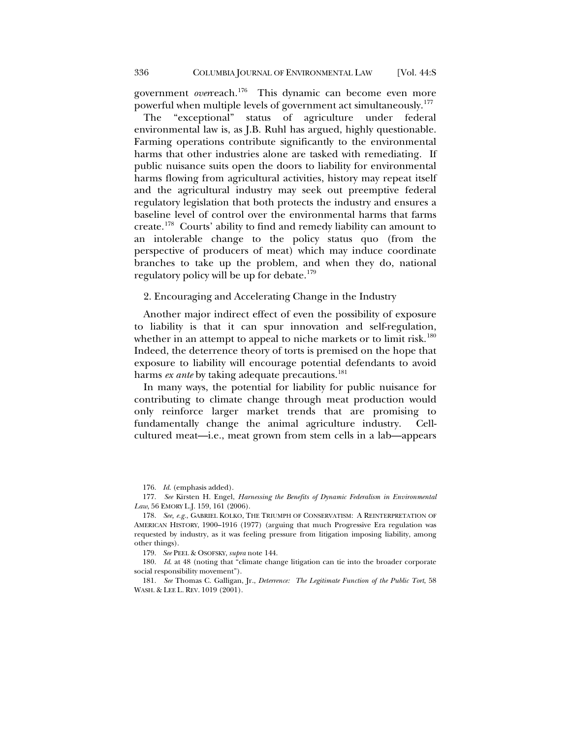government *over*reach.<sup>[176](#page-37-0)</sup> This dynamic can become even more powerful when multiple levels of government act simultaneously.<sup>[177](#page-37-1)</sup>

The "exceptional" status of agriculture under federal environmental law is, as J.B. Ruhl has argued, highly questionable. Farming operations contribute significantly to the environmental harms that other industries alone are tasked with remediating. If public nuisance suits open the doors to liability for environmental harms flowing from agricultural activities, history may repeat itself and the agricultural industry may seek out preemptive federal regulatory legislation that both protects the industry and ensures a baseline level of control over the environmental harms that farms create.[178](#page-37-2) Courts' ability to find and remedy liability can amount to an intolerable change to the policy status quo (from the perspective of producers of meat) which may induce coordinate branches to take up the problem, and when they do, national regulatory policy will be up for debate.<sup>[179](#page-37-3)</sup>

2. Encouraging and Accelerating Change in the Industry

Another major indirect effect of even the possibility of exposure to liability is that it can spur innovation and self-regulation, whether in an attempt to appeal to niche markets or to limit risk.<sup>[180](#page-37-4)</sup> Indeed, the deterrence theory of torts is premised on the hope that exposure to liability will encourage potential defendants to avoid harms *ex ante* by taking adequate precautions.<sup>[181](#page-37-5)</sup>

In many ways, the potential for liability for public nuisance for contributing to climate change through meat production would only reinforce larger market trends that are promising to fundamentally change the animal agriculture industry. Cellcultured meat—i.e., meat grown from stem cells in a lab—appears

176. *Id*. (emphasis added).

<span id="page-37-1"></span><span id="page-37-0"></span>177. *See* Kirsten H. Engel, *Harnessing the Benefits of Dynamic Federalism in Environmental Law*, 56 EMORY L.J. 159, 161 (2006).

<span id="page-37-2"></span>178. *See, e.g.*, GABRIEL KOLKO, THE TRIUMPH OF CONSERVATISM: A REINTERPRETATION OF AMERICAN HISTORY, 1900–1916 (1977) (arguing that much Progressive Era regulation was requested by industry, as it was feeling pressure from litigation imposing liability, among other things).

179. *See* PEEL & OSOFSKY, *supra* not[e 144.](#page-29-2)

<span id="page-37-4"></span><span id="page-37-3"></span>180. *Id*. at 48 (noting that "climate change litigation can tie into the broader corporate social responsibility movement").

<span id="page-37-5"></span>181. *See* Thomas C. Galligan, Jr., *Deterrence: The Legitimate Function of the Public Tort*, 58 WASH. & LEE L. REV. 1019 (2001).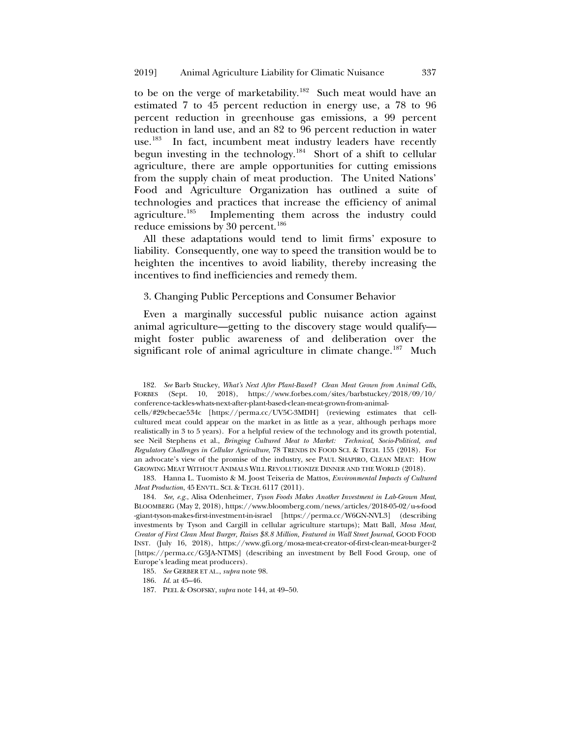to be on the verge of marketability.<sup>[182](#page-38-0)</sup> Such meat would have an estimated 7 to 45 percent reduction in energy use, a 78 to 96 percent reduction in greenhouse gas emissions, a 99 percent reduction in land use, and an 82 to 96 percent reduction in water use.<sup>[183](#page-38-1)</sup> In fact, incumbent meat industry leaders have recently begun investing in the technology.<sup>184</sup> Short of a shift to cellular agriculture, there are ample opportunities for cutting emissions from the supply chain of meat production. The United Nations' Food and Agriculture Organization has outlined a suite of technologies and practices that increase the efficiency of animal agriculture.<sup>185</sup> Implementing them across the industry could Implementing them across the industry could reduce emissions by 30 percent. $^{186}$  $^{186}$  $^{186}$ 

All these adaptations would tend to limit firms' exposure to liability. Consequently, one way to speed the transition would be to heighten the incentives to avoid liability, thereby increasing the incentives to find inefficiencies and remedy them.

3. Changing Public Perceptions and Consumer Behavior

Even a marginally successful public nuisance action against animal agriculture—getting to the discovery stage would qualify might foster public awareness of and deliberation over the significant role of animal agriculture in climate change.<sup>187</sup> Much

cells/#29cbecae534c [https://perma.cc/UV5C-3MDH] (reviewing estimates that cellcultured meat could appear on the market in as little as a year, although perhaps more realistically in 3 to 5 years). For a helpful review of the technology and its growth potential, see Neil Stephens et al., *Bringing Cultured Meat to Market: Technical, Socio-Political, and Regulatory Challenges in Cellular Agriculture*, 78 TRENDS IN FOOD SCI. & TECH. 155 (2018). For an advocate's view of the promise of the industry, see PAUL SHAPIRO, CLEAN MEAT: HOW GROWING MEAT WITHOUT ANIMALS WILL REVOLUTIONIZE DINNER AND THE WORLD (2018).

<span id="page-38-1"></span>183. Hanna L. Tuomisto & M. Joost Teixeria de Mattos, *Environmental Impacts of Cultured Meat Production*, 45 ENVTL. SCI. & TECH. 6117 (2011).

<span id="page-38-2"></span>184. *See, e.g.*, Alisa Odenheimer, *Tyson Foods Makes Another Investment in Lab-Grown Meat*, BLOOMBERG (May 2, 2018), https://www.bloomberg.com/news/articles/2018-05-02/u-s-food -giant-tyson-makes-first-investment-in-israel [https://perma.cc/W6GN-NVL3] (describing investments by Tyson and Cargill in cellular agriculture startups); Matt Ball, *Mosa Meat, Creator of First Clean Meat Burger, Raises \$8.8 Million, Featured in Wall Street Journal*, GOOD FOOD INST. (July 16, 2018), https://www.gfi.org/mosa-meat-creator-of-first-clean-meat-burger-2 [\[https://perma.cc/G5JA-NTMS\]](https://perma.cc/G5JA-NTMS) (describing an investment by Bell Food Group, one of Europe's leading meat producers).

<span id="page-38-3"></span>185. *See* GERBER ET AL., *supra* not[e 98.](#page-19-10)

<span id="page-38-4"></span>186. *Id*. at 45–46.

<span id="page-38-5"></span>187. PEEL & OSOFSKY, *supra* not[e 144,](#page-29-2) at 49–50.

<span id="page-38-0"></span><sup>182.</sup> *See* Barb Stuckey, *What's Next After Plant-Based? Clean Meat Grown from Animal Cells*, FORBES (Sept. 10, 2018), https://www.forbes.com/sites/barbstuckey/2018/09/10/ conference-tackles-whats-next-after-plant-based-clean-meat-grown-from-animal-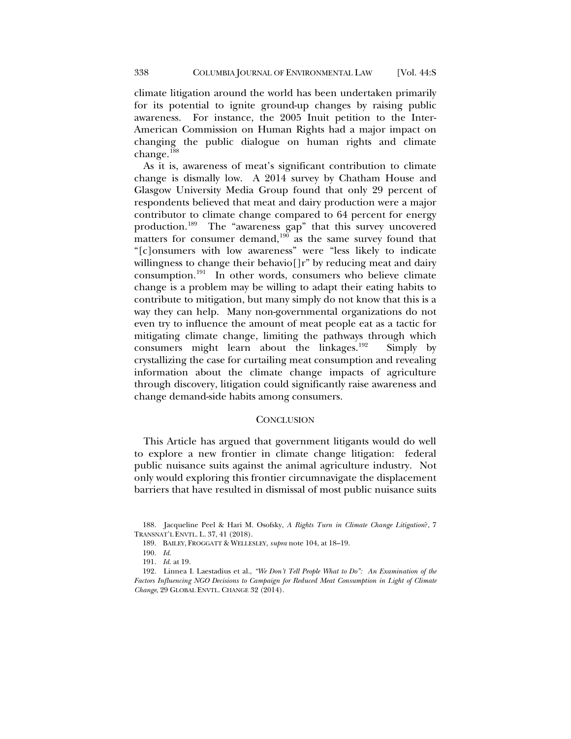climate litigation around the world has been undertaken primarily for its potential to ignite ground-up changes by raising public awareness. For instance, the 2005 Inuit petition to the Inter-American Commission on Human Rights had a major impact on changing the public dialogue on human rights and climate change.<sup>[188](#page-39-0)</sup>

As it is, awareness of meat's significant contribution to climate change is dismally low. A 2014 survey by Chatham House and Glasgow University Media Group found that only 29 percent of respondents believed that meat and dairy production were a major contributor to climate change compared to 64 percent for energy production.<sup>189</sup> The "awareness gap" that this survey uncovered matters for consumer demand, $190$  as the same survey found that "[c]onsumers with low awareness" were "less likely to indicate willingness to change their behavio<sup>[]r"</sup> by reducing meat and dairy consumption.[191](#page-39-3) In other words, consumers who believe climate change is a problem may be willing to adapt their eating habits to contribute to mitigation, but many simply do not know that this is a way they can help. Many non-governmental organizations do not even try to influence the amount of meat people eat as a tactic for mitigating climate change, limiting the pathways through which consumers might learn about the linkages.[192](#page-39-4) Simply by crystallizing the case for curtailing meat consumption and revealing information about the climate change impacts of agriculture through discovery, litigation could significantly raise awareness and change demand-side habits among consumers.

#### **CONCLUSION**

This Article has argued that government litigants would do well to explore a new frontier in climate change litigation: federal public nuisance suits against the animal agriculture industry. Not only would exploring this frontier circumnavigate the displacement barriers that have resulted in dismissal of most public nuisance suits

189. BAILEY, FROGGATT & WELLESLEY, *supra* not[e 104,](#page-20-7) at 18–19.

191. *Id.* at 19.

<span id="page-39-1"></span><span id="page-39-0"></span><sup>188.</sup> Jacqueline Peel & Hari M. Osofsky, *A Rights Turn in Climate Change Litigation*?, 7 TRANSNAT'L ENVTL. L. 37, 41 (2018).

<sup>190.</sup> *Id*.

<span id="page-39-4"></span><span id="page-39-3"></span><span id="page-39-2"></span><sup>192.</sup> Linnea I. Laestadius et al., *"We Don't Tell People What to Do": An Examination of the Factors Influencing NGO Decisions to Campaign for Reduced Meat Consumption in Light of Climate Change*, 29 GLOBAL ENVTL. CHANGE 32 (2014).